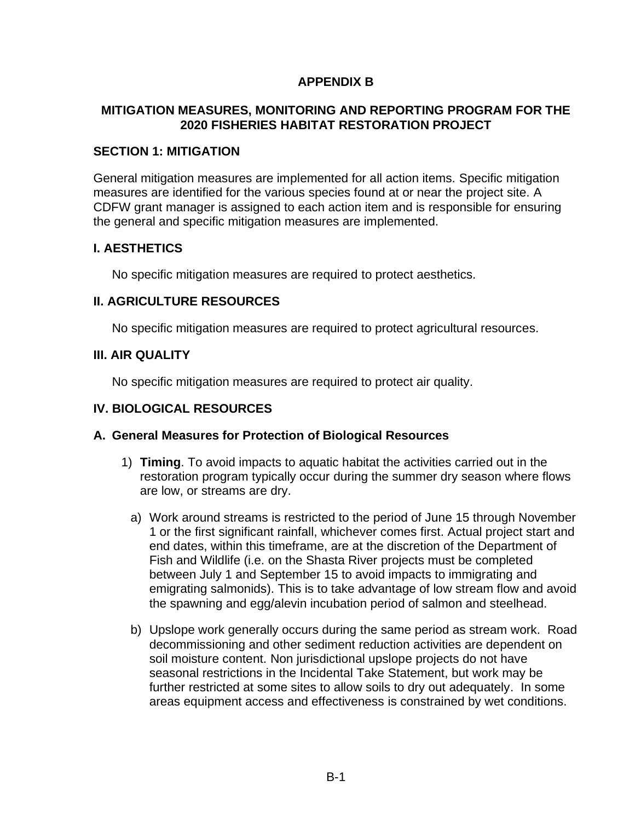# **APPENDIX B**

## **MITIGATION MEASURES, MONITORING AND REPORTING PROGRAM FOR THE 2020 FISHERIES HABITAT RESTORATION PROJECT**

### **SECTION 1: MITIGATION**

General mitigation measures are implemented for all action items. Specific mitigation measures are identified for the various species found at or near the project site. A CDFW grant manager is assigned to each action item and is responsible for ensuring the general and specific mitigation measures are implemented.

## **I. AESTHETICS**

No specific mitigation measures are required to protect aesthetics.

## **II. AGRICULTURE RESOURCES**

No specific mitigation measures are required to protect agricultural resources.

## **III. AIR QUALITY**

No specific mitigation measures are required to protect air quality.

### **IV. BIOLOGICAL RESOURCES**

#### **A. General Measures for Protection of Biological Resources**

- 1) **Timing**. To avoid impacts to aquatic habitat the activities carried out in the restoration program typically occur during the summer dry season where flows are low, or streams are dry.
	- a) Work around streams is restricted to the period of June 15 through November 1 or the first significant rainfall, whichever comes first. Actual project start and end dates, within this timeframe, are at the discretion of the Department of Fish and Wildlife (i.e. on the Shasta River projects must be completed between July 1 and September 15 to avoid impacts to immigrating and emigrating salmonids). This is to take advantage of low stream flow and avoid the spawning and egg/alevin incubation period of salmon and steelhead.
	- b) Upslope work generally occurs during the same period as stream work. Road decommissioning and other sediment reduction activities are dependent on soil moisture content. Non jurisdictional upslope projects do not have seasonal restrictions in the Incidental Take Statement, but work may be further restricted at some sites to allow soils to dry out adequately. In some areas equipment access and effectiveness is constrained by wet conditions.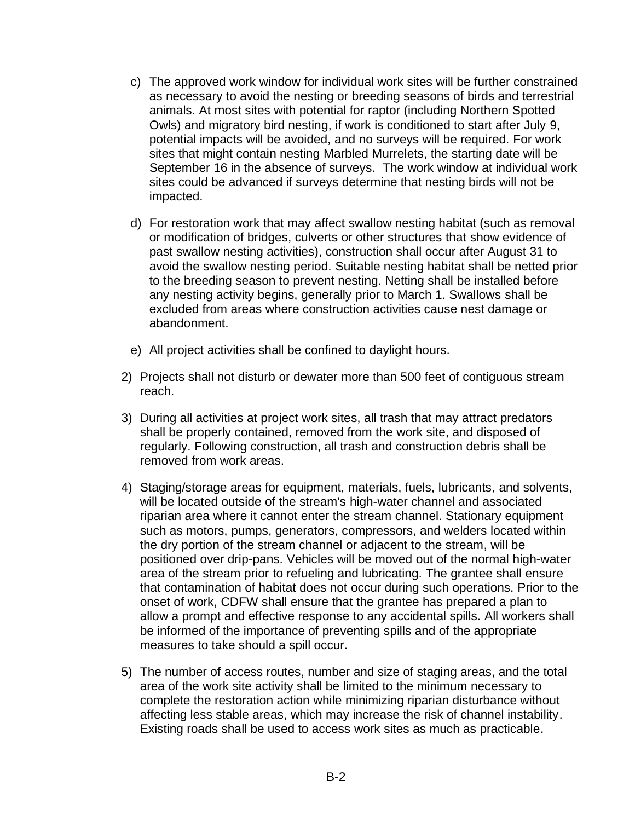- c) The approved work window for individual work sites will be further constrained as necessary to avoid the nesting or breeding seasons of birds and terrestrial animals. At most sites with potential for raptor (including Northern Spotted Owls) and migratory bird nesting, if work is conditioned to start after July 9, potential impacts will be avoided, and no surveys will be required. For work sites that might contain nesting Marbled Murrelets, the starting date will be September 16 in the absence of surveys. The work window at individual work sites could be advanced if surveys determine that nesting birds will not be impacted.
- d) For restoration work that may affect swallow nesting habitat (such as removal or modification of bridges, culverts or other structures that show evidence of past swallow nesting activities), construction shall occur after August 31 to avoid the swallow nesting period. Suitable nesting habitat shall be netted prior to the breeding season to prevent nesting. Netting shall be installed before any nesting activity begins, generally prior to March 1. Swallows shall be excluded from areas where construction activities cause nest damage or abandonment.
- e) All project activities shall be confined to daylight hours.
- 2) Projects shall not disturb or dewater more than 500 feet of contiguous stream reach.
- 3) During all activities at project work sites, all trash that may attract predators shall be properly contained, removed from the work site, and disposed of regularly. Following construction, all trash and construction debris shall be removed from work areas.
- 4) Staging/storage areas for equipment, materials, fuels, lubricants, and solvents, will be located outside of the stream's high-water channel and associated riparian area where it cannot enter the stream channel. Stationary equipment such as motors, pumps, generators, compressors, and welders located within the dry portion of the stream channel or adjacent to the stream, will be positioned over drip-pans. Vehicles will be moved out of the normal high-water area of the stream prior to refueling and lubricating. The grantee shall ensure that contamination of habitat does not occur during such operations. Prior to the onset of work, CDFW shall ensure that the grantee has prepared a plan to allow a prompt and effective response to any accidental spills. All workers shall be informed of the importance of preventing spills and of the appropriate measures to take should a spill occur.
- 5) The number of access routes, number and size of staging areas, and the total area of the work site activity shall be limited to the minimum necessary to complete the restoration action while minimizing riparian disturbance without affecting less stable areas, which may increase the risk of channel instability. Existing roads shall be used to access work sites as much as practicable.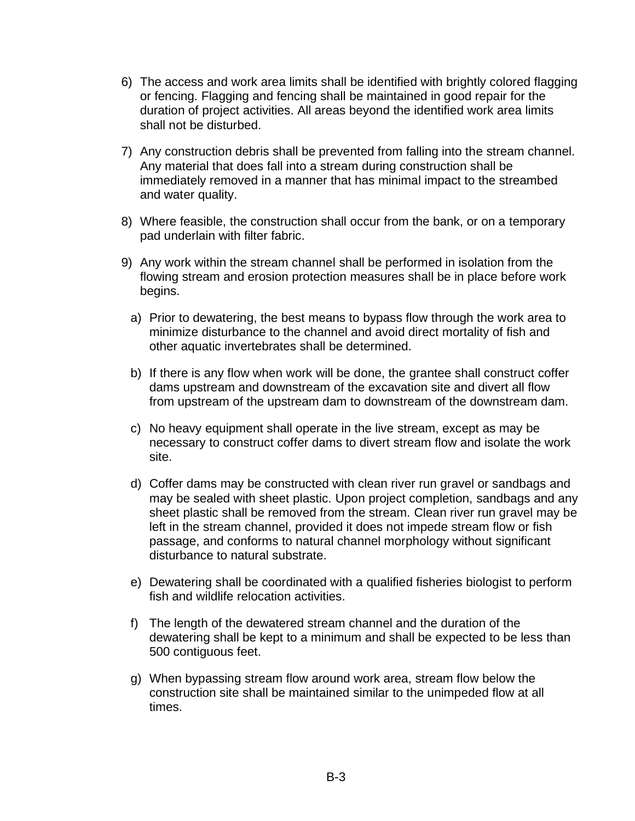- 6) The access and work area limits shall be identified with brightly colored flagging or fencing. Flagging and fencing shall be maintained in good repair for the duration of project activities. All areas beyond the identified work area limits shall not be disturbed.
- 7) Any construction debris shall be prevented from falling into the stream channel. Any material that does fall into a stream during construction shall be immediately removed in a manner that has minimal impact to the streambed and water quality.
- 8) Where feasible, the construction shall occur from the bank, or on a temporary pad underlain with filter fabric.
- 9) Any work within the stream channel shall be performed in isolation from the flowing stream and erosion protection measures shall be in place before work begins.
	- a) Prior to dewatering, the best means to bypass flow through the work area to minimize disturbance to the channel and avoid direct mortality of fish and other aquatic invertebrates shall be determined.
	- b) If there is any flow when work will be done, the grantee shall construct coffer dams upstream and downstream of the excavation site and divert all flow from upstream of the upstream dam to downstream of the downstream dam.
	- c) No heavy equipment shall operate in the live stream, except as may be necessary to construct coffer dams to divert stream flow and isolate the work site.
	- d) Coffer dams may be constructed with clean river run gravel or sandbags and may be sealed with sheet plastic. Upon project completion, sandbags and any sheet plastic shall be removed from the stream. Clean river run gravel may be left in the stream channel, provided it does not impede stream flow or fish passage, and conforms to natural channel morphology without significant disturbance to natural substrate.
	- e) Dewatering shall be coordinated with a qualified fisheries biologist to perform fish and wildlife relocation activities.
	- f) The length of the dewatered stream channel and the duration of the dewatering shall be kept to a minimum and shall be expected to be less than 500 contiguous feet.
	- g) When bypassing stream flow around work area, stream flow below the construction site shall be maintained similar to the unimpeded flow at all times.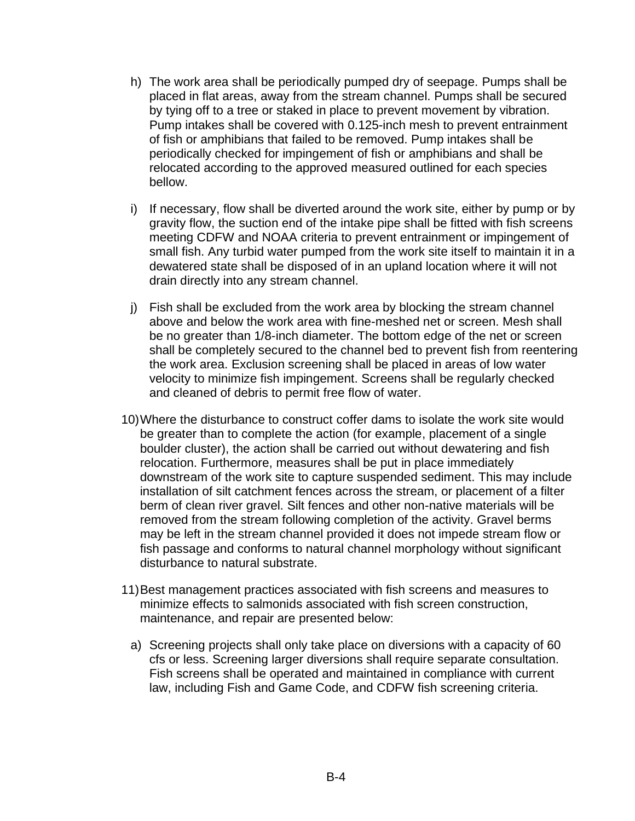- h) The work area shall be periodically pumped dry of seepage. Pumps shall be placed in flat areas, away from the stream channel. Pumps shall be secured by tying off to a tree or staked in place to prevent movement by vibration. Pump intakes shall be covered with 0.125-inch mesh to prevent entrainment of fish or amphibians that failed to be removed. Pump intakes shall be periodically checked for impingement of fish or amphibians and shall be relocated according to the approved measured outlined for each species bellow.
- i) If necessary, flow shall be diverted around the work site, either by pump or by gravity flow, the suction end of the intake pipe shall be fitted with fish screens meeting CDFW and NOAA criteria to prevent entrainment or impingement of small fish. Any turbid water pumped from the work site itself to maintain it in a dewatered state shall be disposed of in an upland location where it will not drain directly into any stream channel.
- j) Fish shall be excluded from the work area by blocking the stream channel above and below the work area with fine-meshed net or screen. Mesh shall be no greater than 1/8-inch diameter. The bottom edge of the net or screen shall be completely secured to the channel bed to prevent fish from reentering the work area. Exclusion screening shall be placed in areas of low water velocity to minimize fish impingement. Screens shall be regularly checked and cleaned of debris to permit free flow of water.
- 10)Where the disturbance to construct coffer dams to isolate the work site would be greater than to complete the action (for example, placement of a single boulder cluster), the action shall be carried out without dewatering and fish relocation. Furthermore, measures shall be put in place immediately downstream of the work site to capture suspended sediment. This may include installation of silt catchment fences across the stream, or placement of a filter berm of clean river gravel. Silt fences and other non-native materials will be removed from the stream following completion of the activity. Gravel berms may be left in the stream channel provided it does not impede stream flow or fish passage and conforms to natural channel morphology without significant disturbance to natural substrate.
- 11)Best management practices associated with fish screens and measures to minimize effects to salmonids associated with fish screen construction, maintenance, and repair are presented below:
	- a) Screening projects shall only take place on diversions with a capacity of 60 cfs or less. Screening larger diversions shall require separate consultation. Fish screens shall be operated and maintained in compliance with current law, including Fish and Game Code, and CDFW fish screening criteria.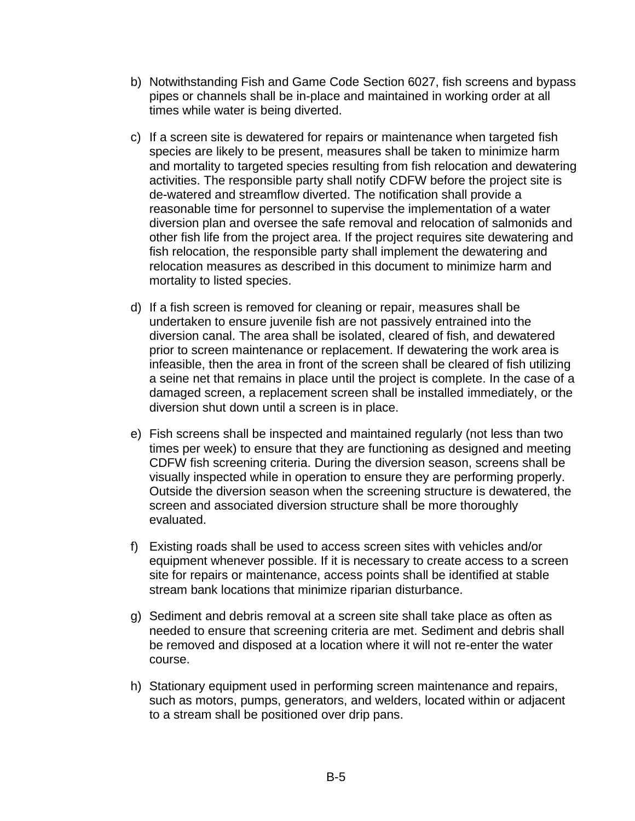- b) Notwithstanding Fish and Game Code Section 6027, fish screens and bypass pipes or channels shall be in-place and maintained in working order at all times while water is being diverted.
- c) If a screen site is dewatered for repairs or maintenance when targeted fish species are likely to be present, measures shall be taken to minimize harm and mortality to targeted species resulting from fish relocation and dewatering activities. The responsible party shall notify CDFW before the project site is de-watered and streamflow diverted. The notification shall provide a reasonable time for personnel to supervise the implementation of a water diversion plan and oversee the safe removal and relocation of salmonids and other fish life from the project area. If the project requires site dewatering and fish relocation, the responsible party shall implement the dewatering and relocation measures as described in this document to minimize harm and mortality to listed species.
- d) If a fish screen is removed for cleaning or repair, measures shall be undertaken to ensure juvenile fish are not passively entrained into the diversion canal. The area shall be isolated, cleared of fish, and dewatered prior to screen maintenance or replacement. If dewatering the work area is infeasible, then the area in front of the screen shall be cleared of fish utilizing a seine net that remains in place until the project is complete. In the case of a damaged screen, a replacement screen shall be installed immediately, or the diversion shut down until a screen is in place.
- e) Fish screens shall be inspected and maintained regularly (not less than two times per week) to ensure that they are functioning as designed and meeting CDFW fish screening criteria. During the diversion season, screens shall be visually inspected while in operation to ensure they are performing properly. Outside the diversion season when the screening structure is dewatered, the screen and associated diversion structure shall be more thoroughly evaluated.
- f) Existing roads shall be used to access screen sites with vehicles and/or equipment whenever possible. If it is necessary to create access to a screen site for repairs or maintenance, access points shall be identified at stable stream bank locations that minimize riparian disturbance.
- g) Sediment and debris removal at a screen site shall take place as often as needed to ensure that screening criteria are met. Sediment and debris shall be removed and disposed at a location where it will not re-enter the water course.
- h) Stationary equipment used in performing screen maintenance and repairs, such as motors, pumps, generators, and welders, located within or adjacent to a stream shall be positioned over drip pans.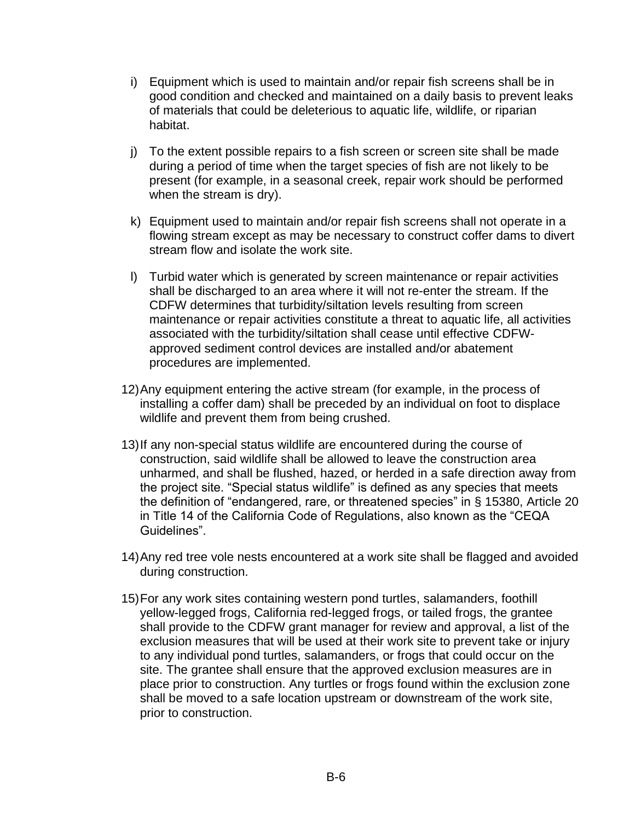- i) Equipment which is used to maintain and/or repair fish screens shall be in good condition and checked and maintained on a daily basis to prevent leaks of materials that could be deleterious to aquatic life, wildlife, or riparian habitat.
- j) To the extent possible repairs to a fish screen or screen site shall be made during a period of time when the target species of fish are not likely to be present (for example, in a seasonal creek, repair work should be performed when the stream is dry).
- k) Equipment used to maintain and/or repair fish screens shall not operate in a flowing stream except as may be necessary to construct coffer dams to divert stream flow and isolate the work site.
- l) Turbid water which is generated by screen maintenance or repair activities shall be discharged to an area where it will not re-enter the stream. If the CDFW determines that turbidity/siltation levels resulting from screen maintenance or repair activities constitute a threat to aquatic life, all activities associated with the turbidity/siltation shall cease until effective CDFWapproved sediment control devices are installed and/or abatement procedures are implemented.
- 12)Any equipment entering the active stream (for example, in the process of installing a coffer dam) shall be preceded by an individual on foot to displace wildlife and prevent them from being crushed.
- 13)If any non-special status wildlife are encountered during the course of construction, said wildlife shall be allowed to leave the construction area unharmed, and shall be flushed, hazed, or herded in a safe direction away from the project site. "Special status wildlife" is defined as any species that meets the definition of "endangered, rare, or threatened species" in § 15380, Article 20 in Title 14 of the California Code of Regulations, also known as the "CEQA Guidelines".
- 14)Any red tree vole nests encountered at a work site shall be flagged and avoided during construction.
- 15)For any work sites containing western pond turtles, salamanders, foothill yellow-legged frogs, California red-legged frogs, or tailed frogs, the grantee shall provide to the CDFW grant manager for review and approval, a list of the exclusion measures that will be used at their work site to prevent take or injury to any individual pond turtles, salamanders, or frogs that could occur on the site. The grantee shall ensure that the approved exclusion measures are in place prior to construction. Any turtles or frogs found within the exclusion zone shall be moved to a safe location upstream or downstream of the work site, prior to construction.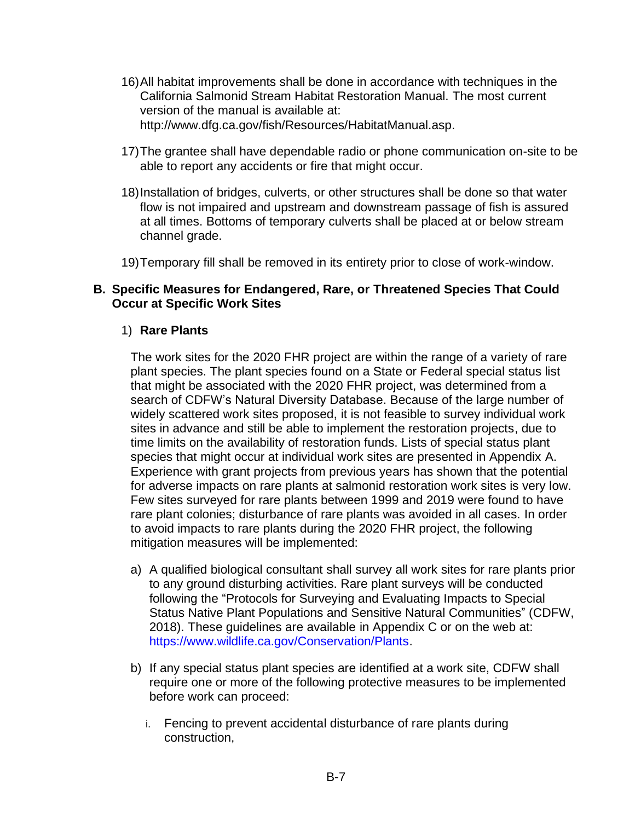- 16)All habitat improvements shall be done in accordance with techniques in the California Salmonid Stream Habitat Restoration Manual. The most current version of the manual is available at: [http://www.dfg.ca.gov/fish/Resources/HabitatManual.asp.](http://www.dfg.ca.gov/fish/Resources/HabitatManual.asp)
- 17)The grantee shall have dependable radio or phone communication on-site to be able to report any accidents or fire that might occur.
- 18)Installation of bridges, culverts, or other structures shall be done so that water flow is not impaired and upstream and downstream passage of fish is assured at all times. Bottoms of temporary culverts shall be placed at or below stream channel grade.
- 19)Temporary fill shall be removed in its entirety prior to close of work-window.

#### **B. Specific Measures for Endangered, Rare, or Threatened Species That Could Occur at Specific Work Sites**

#### 1) **Rare Plants**

The work sites for the 2020 FHR project are within the range of a variety of rare plant species. The plant species found on a State or Federal special status list that might be associated with the 2020 FHR project, was determined from a search of CDFW's Natural Diversity Database. Because of the large number of widely scattered work sites proposed, it is not feasible to survey individual work sites in advance and still be able to implement the restoration projects, due to time limits on the availability of restoration funds. Lists of special status plant species that might occur at individual work sites are presented in Appendix A. Experience with grant projects from previous years has shown that the potential for adverse impacts on rare plants at salmonid restoration work sites is very low. Few sites surveyed for rare plants between 1999 and 2019 were found to have rare plant colonies; disturbance of rare plants was avoided in all cases. In order to avoid impacts to rare plants during the 2020 FHR project, the following mitigation measures will be implemented:

- a) A qualified biological consultant shall survey all work sites for rare plants prior to any ground disturbing activities. Rare plant surveys will be conducted following the "Protocols for Surveying and Evaluating Impacts to Special Status Native Plant Populations and Sensitive Natural Communities" (CDFW, 2018). These guidelines are available in Appendix C or on the web at: [https://www.wildlife.ca.gov/Conservation/Plants.](https://www.wildlife.ca.gov/Conservation/Plants)
- b) If any special status plant species are identified at a work site, CDFW shall require one or more of the following protective measures to be implemented before work can proceed:
	- i. Fencing to prevent accidental disturbance of rare plants during construction,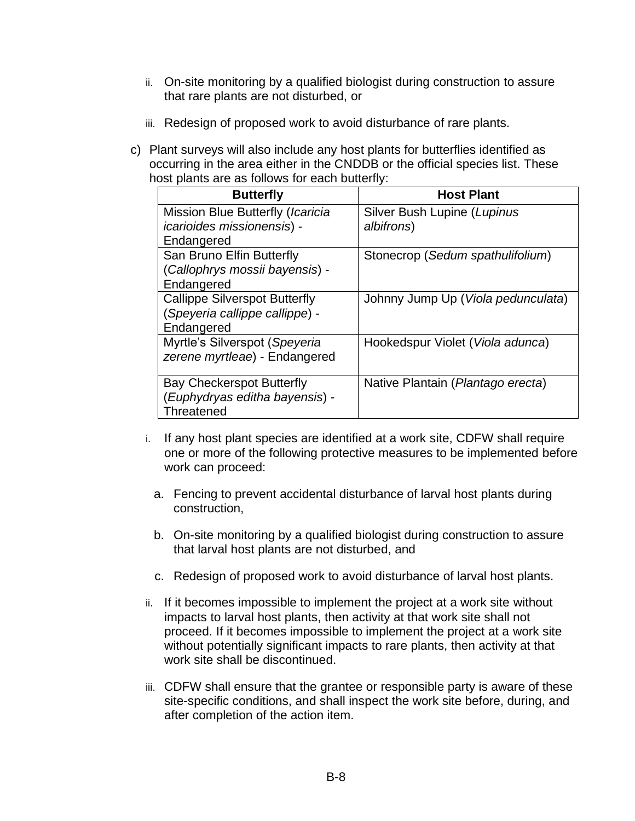- ii. On-site monitoring by a qualified biologist during construction to assure that rare plants are not disturbed, or
- iii. Redesign of proposed work to avoid disturbance of rare plants.
- c) Plant surveys will also include any host plants for butterflies identified as occurring in the area either in the CNDDB or the official species list. These host plants are as follows for each butterfly:

| <b>Butterfly</b>                     | <b>Host Plant</b>                  |
|--------------------------------------|------------------------------------|
| Mission Blue Butterfly (Icaricia     | Silver Bush Lupine (Lupinus        |
| <i>icarioides missionensis</i> ) -   | albifrons)                         |
| Endangered                           |                                    |
| San Bruno Elfin Butterfly            | Stonecrop (Sedum spathulifolium)   |
| (Callophrys mossii bayensis) -       |                                    |
| Endangered                           |                                    |
| <b>Callippe Silverspot Butterfly</b> | Johnny Jump Up (Viola pedunculata) |
| (Speyeria callippe callippe) -       |                                    |
| Endangered                           |                                    |
| Myrtle's Silverspot (Speyeria        | Hookedspur Violet (Viola adunca)   |
| zerene myrtleae) - Endangered        |                                    |
|                                      |                                    |
| <b>Bay Checkerspot Butterfly</b>     | Native Plantain (Plantago erecta)  |
| (Euphydryas editha bayensis) -       |                                    |
| Threatened                           |                                    |

- i. If any host plant species are identified at a work site, CDFW shall require one or more of the following protective measures to be implemented before work can proceed:
	- a. Fencing to prevent accidental disturbance of larval host plants during construction,
	- b. On-site monitoring by a qualified biologist during construction to assure that larval host plants are not disturbed, and
	- c. Redesign of proposed work to avoid disturbance of larval host plants.
- ii. If it becomes impossible to implement the project at a work site without impacts to larval host plants, then activity at that work site shall not proceed. If it becomes impossible to implement the project at a work site without potentially significant impacts to rare plants, then activity at that work site shall be discontinued.
- iii. CDFW shall ensure that the grantee or responsible party is aware of these site-specific conditions, and shall inspect the work site before, during, and after completion of the action item.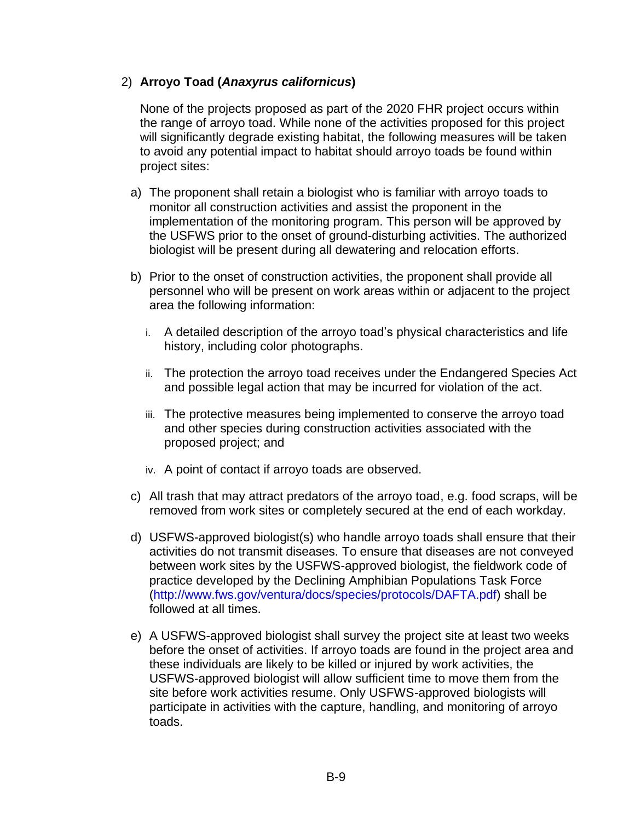## 2) **Arroyo Toad (***Anaxyrus californicus***)**

None of the projects proposed as part of the 2020 FHR project occurs within the range of arroyo toad. While none of the activities proposed for this project will significantly degrade existing habitat, the following measures will be taken to avoid any potential impact to habitat should arroyo toads be found within project sites:

- a) The proponent shall retain a biologist who is familiar with arroyo toads to monitor all construction activities and assist the proponent in the implementation of the monitoring program. This person will be approved by the USFWS prior to the onset of ground-disturbing activities. The authorized biologist will be present during all dewatering and relocation efforts.
- b) Prior to the onset of construction activities, the proponent shall provide all personnel who will be present on work areas within or adjacent to the project area the following information:
	- i. A detailed description of the arroyo toad's physical characteristics and life history, including color photographs.
	- ii. The protection the arroyo toad receives under the Endangered Species Act and possible legal action that may be incurred for violation of the act.
	- iii. The protective measures being implemented to conserve the arroyo toad and other species during construction activities associated with the proposed project; and
	- iv. A point of contact if arroyo toads are observed.
- c) All trash that may attract predators of the arroyo toad, e.g. food scraps, will be removed from work sites or completely secured at the end of each workday.
- d) USFWS-approved biologist(s) who handle arroyo toads shall ensure that their activities do not transmit diseases. To ensure that diseases are not conveyed between work sites by the USFWS-approved biologist, the fieldwork code of practice developed by the Declining Amphibian Populations Task Force [\(http://www.fws.gov/ventura/docs/species/protocols/DAFTA.pdf\)](http://www.fws.gov/ventura/docs/species/protocols/DAFTA.pdf) shall be followed at all times.
- e) A USFWS-approved biologist shall survey the project site at least two weeks before the onset of activities. If arroyo toads are found in the project area and these individuals are likely to be killed or injured by work activities, the USFWS-approved biologist will allow sufficient time to move them from the site before work activities resume. Only USFWS-approved biologists will participate in activities with the capture, handling, and monitoring of arroyo toads.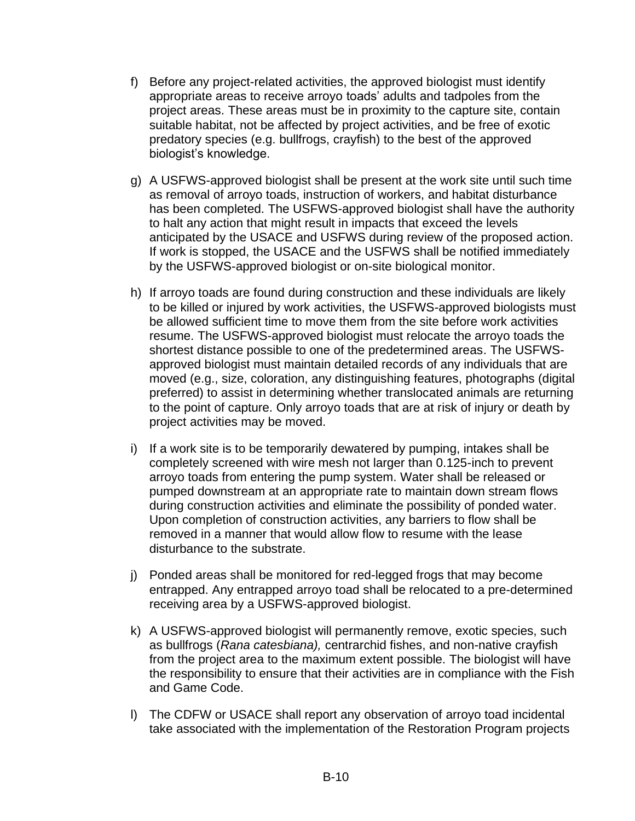- f) Before any project-related activities, the approved biologist must identify appropriate areas to receive arroyo toads' adults and tadpoles from the project areas. These areas must be in proximity to the capture site, contain suitable habitat, not be affected by project activities, and be free of exotic predatory species (e.g. bullfrogs, crayfish) to the best of the approved biologist's knowledge.
- g) A USFWS-approved biologist shall be present at the work site until such time as removal of arroyo toads, instruction of workers, and habitat disturbance has been completed. The USFWS-approved biologist shall have the authority to halt any action that might result in impacts that exceed the levels anticipated by the USACE and USFWS during review of the proposed action. If work is stopped, the USACE and the USFWS shall be notified immediately by the USFWS-approved biologist or on-site biological monitor.
- h) If arroyo toads are found during construction and these individuals are likely to be killed or injured by work activities, the USFWS-approved biologists must be allowed sufficient time to move them from the site before work activities resume. The USFWS-approved biologist must relocate the arroyo toads the shortest distance possible to one of the predetermined areas. The USFWSapproved biologist must maintain detailed records of any individuals that are moved (e.g., size, coloration, any distinguishing features, photographs (digital preferred) to assist in determining whether translocated animals are returning to the point of capture. Only arroyo toads that are at risk of injury or death by project activities may be moved.
- i) If a work site is to be temporarily dewatered by pumping, intakes shall be completely screened with wire mesh not larger than 0.125-inch to prevent arroyo toads from entering the pump system. Water shall be released or pumped downstream at an appropriate rate to maintain down stream flows during construction activities and eliminate the possibility of ponded water. Upon completion of construction activities, any barriers to flow shall be removed in a manner that would allow flow to resume with the lease disturbance to the substrate.
- j) Ponded areas shall be monitored for red-legged frogs that may become entrapped. Any entrapped arroyo toad shall be relocated to a pre-determined receiving area by a USFWS-approved biologist.
- k) A USFWS-approved biologist will permanently remove, exotic species, such as bullfrogs (*Rana catesbiana),* centrarchid fishes, and non-native crayfish from the project area to the maximum extent possible. The biologist will have the responsibility to ensure that their activities are in compliance with the Fish and Game Code.
- l) The CDFW or USACE shall report any observation of arroyo toad incidental take associated with the implementation of the Restoration Program projects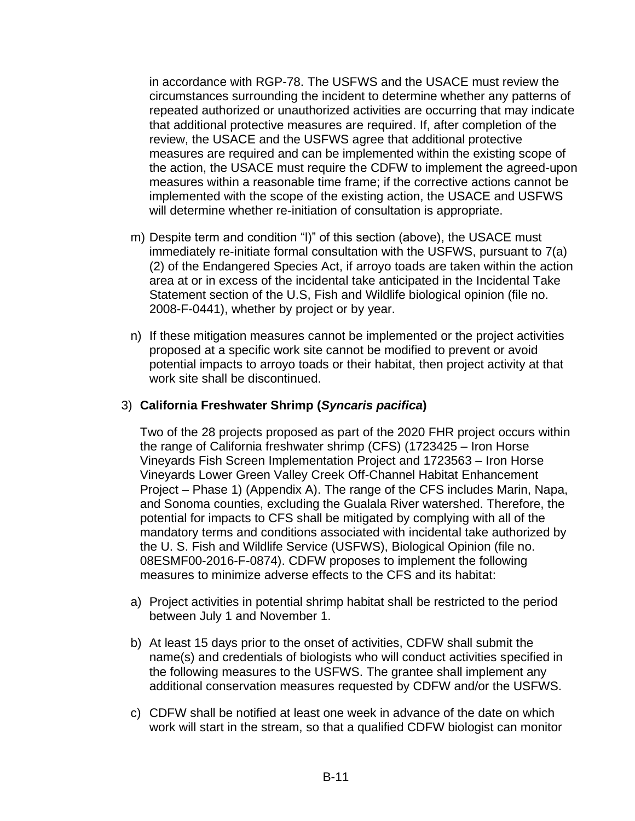in accordance with RGP-78. The USFWS and the USACE must review the circumstances surrounding the incident to determine whether any patterns of repeated authorized or unauthorized activities are occurring that may indicate that additional protective measures are required. If, after completion of the review, the USACE and the USFWS agree that additional protective measures are required and can be implemented within the existing scope of the action, the USACE must require the CDFW to implement the agreed-upon measures within a reasonable time frame; if the corrective actions cannot be implemented with the scope of the existing action, the USACE and USFWS will determine whether re-initiation of consultation is appropriate.

- m) Despite term and condition "l)" of this section (above), the USACE must immediately re-initiate formal consultation with the USFWS, pursuant to 7(a) (2) of the Endangered Species Act, if arroyo toads are taken within the action area at or in excess of the incidental take anticipated in the Incidental Take Statement section of the U.S, Fish and Wildlife biological opinion (file no. 2008-F-0441), whether by project or by year.
- n) If these mitigation measures cannot be implemented or the project activities proposed at a specific work site cannot be modified to prevent or avoid potential impacts to arroyo toads or their habitat, then project activity at that work site shall be discontinued.

## 3) **California Freshwater Shrimp (***Syncaris pacifica***)**

Two of the 28 projects proposed as part of the 2020 FHR project occurs within the range of California freshwater shrimp (CFS) (1723425 – Iron Horse Vineyards Fish Screen Implementation Project and 1723563 – Iron Horse Vineyards Lower Green Valley Creek Off-Channel Habitat Enhancement Project – Phase 1) (Appendix A). The range of the CFS includes Marin, Napa, and Sonoma counties, excluding the Gualala River watershed. Therefore, the potential for impacts to CFS shall be mitigated by complying with all of the mandatory terms and conditions associated with incidental take authorized by the U. S. Fish and Wildlife Service (USFWS), Biological Opinion (file no. 08ESMF00-2016-F-0874). CDFW proposes to implement the following measures to minimize adverse effects to the CFS and its habitat:

- a) Project activities in potential shrimp habitat shall be restricted to the period between July 1 and November 1.
- b) At least 15 days prior to the onset of activities, CDFW shall submit the name(s) and credentials of biologists who will conduct activities specified in the following measures to the USFWS. The grantee shall implement any additional conservation measures requested by CDFW and/or the USFWS.
- c) CDFW shall be notified at least one week in advance of the date on which work will start in the stream, so that a qualified CDFW biologist can monitor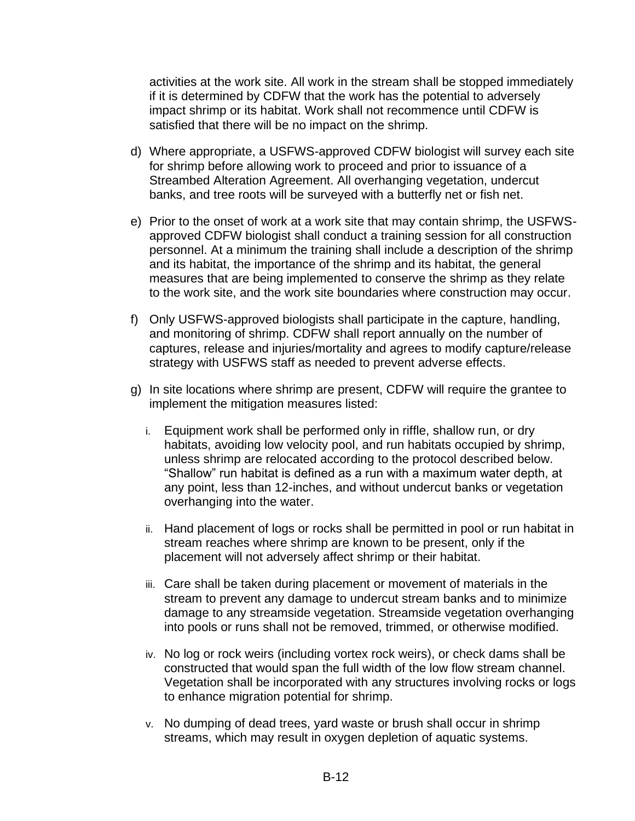activities at the work site. All work in the stream shall be stopped immediately if it is determined by CDFW that the work has the potential to adversely impact shrimp or its habitat. Work shall not recommence until CDFW is satisfied that there will be no impact on the shrimp.

- d) Where appropriate, a USFWS-approved CDFW biologist will survey each site for shrimp before allowing work to proceed and prior to issuance of a Streambed Alteration Agreement. All overhanging vegetation, undercut banks, and tree roots will be surveyed with a butterfly net or fish net.
- e) Prior to the onset of work at a work site that may contain shrimp, the USFWSapproved CDFW biologist shall conduct a training session for all construction personnel. At a minimum the training shall include a description of the shrimp and its habitat, the importance of the shrimp and its habitat, the general measures that are being implemented to conserve the shrimp as they relate to the work site, and the work site boundaries where construction may occur.
- f) Only USFWS-approved biologists shall participate in the capture, handling, and monitoring of shrimp. CDFW shall report annually on the number of captures, release and injuries/mortality and agrees to modify capture/release strategy with USFWS staff as needed to prevent adverse effects.
- g) In site locations where shrimp are present, CDFW will require the grantee to implement the mitigation measures listed:
	- i. Equipment work shall be performed only in riffle, shallow run, or dry habitats, avoiding low velocity pool, and run habitats occupied by shrimp, unless shrimp are relocated according to the protocol described below. "Shallow" run habitat is defined as a run with a maximum water depth, at any point, less than 12-inches, and without undercut banks or vegetation overhanging into the water.
	- ii. Hand placement of logs or rocks shall be permitted in pool or run habitat in stream reaches where shrimp are known to be present, only if the placement will not adversely affect shrimp or their habitat.
	- iii. Care shall be taken during placement or movement of materials in the stream to prevent any damage to undercut stream banks and to minimize damage to any streamside vegetation. Streamside vegetation overhanging into pools or runs shall not be removed, trimmed, or otherwise modified.
	- iv. No log or rock weirs (including vortex rock weirs), or check dams shall be constructed that would span the full width of the low flow stream channel. Vegetation shall be incorporated with any structures involving rocks or logs to enhance migration potential for shrimp.
	- v. No dumping of dead trees, yard waste or brush shall occur in shrimp streams, which may result in oxygen depletion of aquatic systems.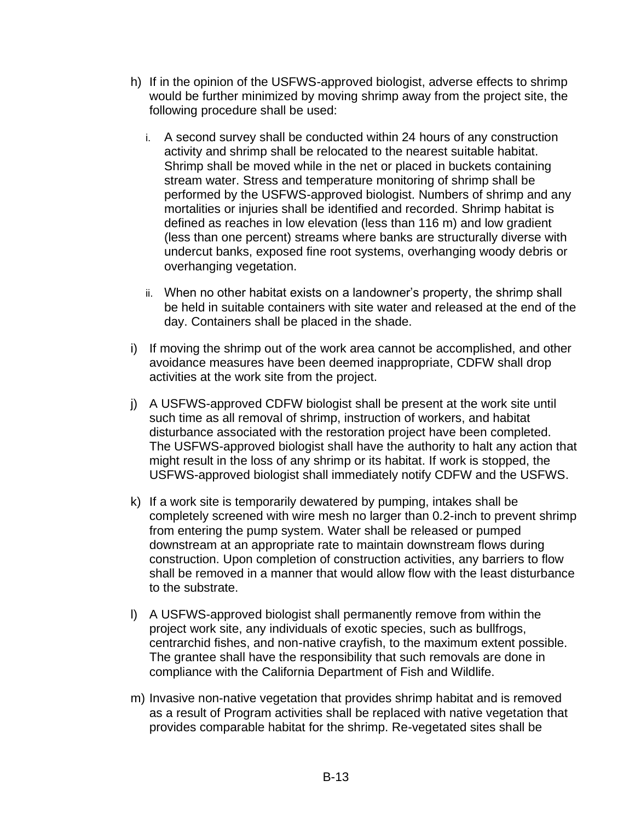- h) If in the opinion of the USFWS-approved biologist, adverse effects to shrimp would be further minimized by moving shrimp away from the project site, the following procedure shall be used:
	- i. A second survey shall be conducted within 24 hours of any construction activity and shrimp shall be relocated to the nearest suitable habitat. Shrimp shall be moved while in the net or placed in buckets containing stream water. Stress and temperature monitoring of shrimp shall be performed by the USFWS-approved biologist. Numbers of shrimp and any mortalities or injuries shall be identified and recorded. Shrimp habitat is defined as reaches in low elevation (less than 116 m) and low gradient (less than one percent) streams where banks are structurally diverse with undercut banks, exposed fine root systems, overhanging woody debris or overhanging vegetation.
	- ii. When no other habitat exists on a landowner's property, the shrimp shall be held in suitable containers with site water and released at the end of the day. Containers shall be placed in the shade.
- i) If moving the shrimp out of the work area cannot be accomplished, and other avoidance measures have been deemed inappropriate, CDFW shall drop activities at the work site from the project.
- j) A USFWS-approved CDFW biologist shall be present at the work site until such time as all removal of shrimp, instruction of workers, and habitat disturbance associated with the restoration project have been completed. The USFWS-approved biologist shall have the authority to halt any action that might result in the loss of any shrimp or its habitat. If work is stopped, the USFWS-approved biologist shall immediately notify CDFW and the USFWS.
- k) If a work site is temporarily dewatered by pumping, intakes shall be completely screened with wire mesh no larger than 0.2-inch to prevent shrimp from entering the pump system. Water shall be released or pumped downstream at an appropriate rate to maintain downstream flows during construction. Upon completion of construction activities, any barriers to flow shall be removed in a manner that would allow flow with the least disturbance to the substrate.
- l) A USFWS-approved biologist shall permanently remove from within the project work site, any individuals of exotic species, such as bullfrogs, centrarchid fishes, and non-native crayfish, to the maximum extent possible. The grantee shall have the responsibility that such removals are done in compliance with the California Department of Fish and Wildlife.
- m) Invasive non-native vegetation that provides shrimp habitat and is removed as a result of Program activities shall be replaced with native vegetation that provides comparable habitat for the shrimp. Re-vegetated sites shall be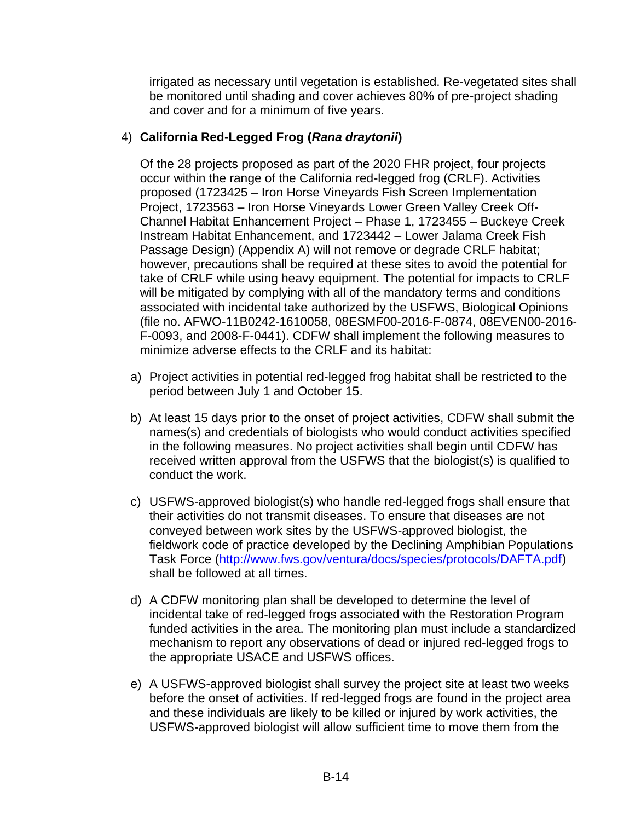irrigated as necessary until vegetation is established. Re-vegetated sites shall be monitored until shading and cover achieves 80% of pre-project shading and cover and for a minimum of five years.

# 4) **California Red-Legged Frog (***Rana draytonii***)**

Of the 28 projects proposed as part of the 2020 FHR project, four projects occur within the range of the California red-legged frog (CRLF). Activities proposed (1723425 – Iron Horse Vineyards Fish Screen Implementation Project, 1723563 – Iron Horse Vineyards Lower Green Valley Creek Off-Channel Habitat Enhancement Project – Phase 1, 1723455 – Buckeye Creek Instream Habitat Enhancement, and 1723442 – Lower Jalama Creek Fish Passage Design) (Appendix A) will not remove or degrade CRLF habitat; however, precautions shall be required at these sites to avoid the potential for take of CRLF while using heavy equipment. The potential for impacts to CRLF will be mitigated by complying with all of the mandatory terms and conditions associated with incidental take authorized by the USFWS, Biological Opinions (file no. AFWO-11B0242-1610058, 08ESMF00-2016-F-0874, 08EVEN00-2016- F-0093, and 2008-F-0441). CDFW shall implement the following measures to minimize adverse effects to the CRLF and its habitat:

- a) Project activities in potential red-legged frog habitat shall be restricted to the period between July 1 and October 15.
- b) At least 15 days prior to the onset of project activities, CDFW shall submit the names(s) and credentials of biologists who would conduct activities specified in the following measures. No project activities shall begin until CDFW has received written approval from the USFWS that the biologist(s) is qualified to conduct the work.
- c) USFWS-approved biologist(s) who handle red-legged frogs shall ensure that their activities do not transmit diseases. To ensure that diseases are not conveyed between work sites by the USFWS-approved biologist, the fieldwork code of practice developed by the Declining Amphibian Populations Task Force [\(http://www.fws.gov/ventura/docs/species/protocols/DAFTA.pdf\)](http://www.fws.gov/ventura/docs/species/protocols/DAFTA.pdf) shall be followed at all times.
- d) A CDFW monitoring plan shall be developed to determine the level of incidental take of red-legged frogs associated with the Restoration Program funded activities in the area. The monitoring plan must include a standardized mechanism to report any observations of dead or injured red-legged frogs to the appropriate USACE and USFWS offices.
- e) A USFWS-approved biologist shall survey the project site at least two weeks before the onset of activities. If red-legged frogs are found in the project area and these individuals are likely to be killed or injured by work activities, the USFWS-approved biologist will allow sufficient time to move them from the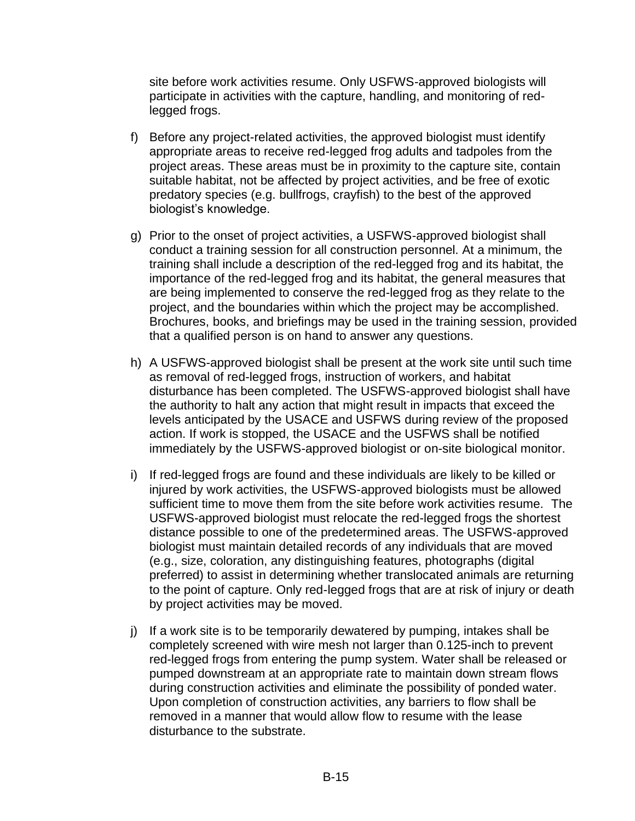site before work activities resume. Only USFWS-approved biologists will participate in activities with the capture, handling, and monitoring of redlegged frogs.

- f) Before any project-related activities, the approved biologist must identify appropriate areas to receive red-legged frog adults and tadpoles from the project areas. These areas must be in proximity to the capture site, contain suitable habitat, not be affected by project activities, and be free of exotic predatory species (e.g. bullfrogs, crayfish) to the best of the approved biologist's knowledge.
- g) Prior to the onset of project activities, a USFWS-approved biologist shall conduct a training session for all construction personnel. At a minimum, the training shall include a description of the red-legged frog and its habitat, the importance of the red-legged frog and its habitat, the general measures that are being implemented to conserve the red-legged frog as they relate to the project, and the boundaries within which the project may be accomplished. Brochures, books, and briefings may be used in the training session, provided that a qualified person is on hand to answer any questions.
- h) A USFWS-approved biologist shall be present at the work site until such time as removal of red-legged frogs, instruction of workers, and habitat disturbance has been completed. The USFWS-approved biologist shall have the authority to halt any action that might result in impacts that exceed the levels anticipated by the USACE and USFWS during review of the proposed action. If work is stopped, the USACE and the USFWS shall be notified immediately by the USFWS-approved biologist or on-site biological monitor.
- i) If red-legged frogs are found and these individuals are likely to be killed or injured by work activities, the USFWS-approved biologists must be allowed sufficient time to move them from the site before work activities resume. The USFWS-approved biologist must relocate the red-legged frogs the shortest distance possible to one of the predetermined areas. The USFWS-approved biologist must maintain detailed records of any individuals that are moved (e.g., size, coloration, any distinguishing features, photographs (digital preferred) to assist in determining whether translocated animals are returning to the point of capture. Only red-legged frogs that are at risk of injury or death by project activities may be moved.
- j) If a work site is to be temporarily dewatered by pumping, intakes shall be completely screened with wire mesh not larger than 0.125-inch to prevent red-legged frogs from entering the pump system. Water shall be released or pumped downstream at an appropriate rate to maintain down stream flows during construction activities and eliminate the possibility of ponded water. Upon completion of construction activities, any barriers to flow shall be removed in a manner that would allow flow to resume with the lease disturbance to the substrate.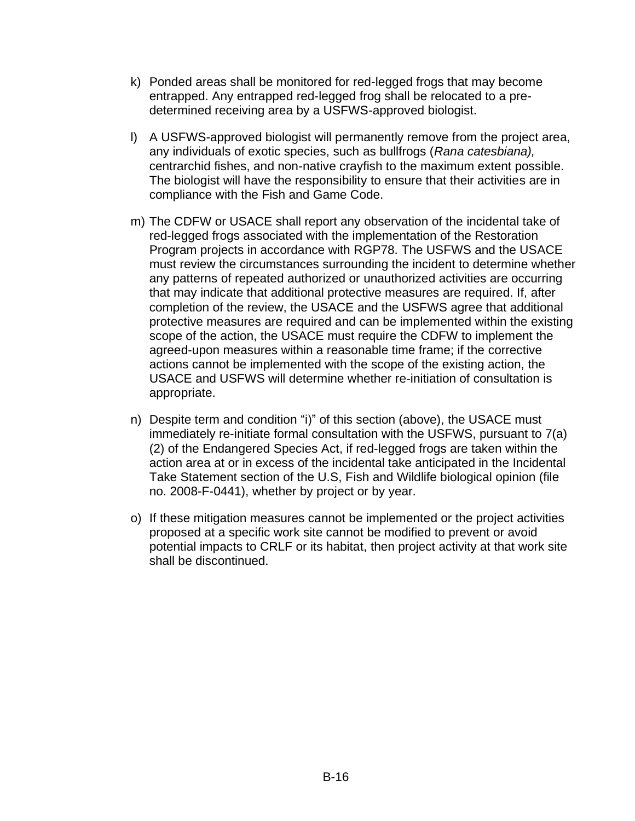- k) Ponded areas shall be monitored for red-legged frogs that may become entrapped. Any entrapped red-legged frog shall be relocated to a predetermined receiving area by a USFWS-approved biologist.
- l) A USFWS-approved biologist will permanently remove from the project area, any individuals of exotic species, such as bullfrogs (*Rana catesbiana),*  centrarchid fishes, and non-native crayfish to the maximum extent possible. The biologist will have the responsibility to ensure that their activities are in compliance with the Fish and Game Code.
- m) The CDFW or USACE shall report any observation of the incidental take of red-legged frogs associated with the implementation of the Restoration Program projects in accordance with RGP78. The USFWS and the USACE must review the circumstances surrounding the incident to determine whether any patterns of repeated authorized or unauthorized activities are occurring that may indicate that additional protective measures are required. If, after completion of the review, the USACE and the USFWS agree that additional protective measures are required and can be implemented within the existing scope of the action, the USACE must require the CDFW to implement the agreed-upon measures within a reasonable time frame; if the corrective actions cannot be implemented with the scope of the existing action, the USACE and USFWS will determine whether re-initiation of consultation is appropriate.
- n) Despite term and condition "i)" of this section (above), the USACE must immediately re-initiate formal consultation with the USFWS, pursuant to 7(a) (2) of the Endangered Species Act, if red-legged frogs are taken within the action area at or in excess of the incidental take anticipated in the Incidental Take Statement section of the U.S, Fish and Wildlife biological opinion (file no. 2008-F-0441), whether by project or by year.
- o) If these mitigation measures cannot be implemented or the project activities proposed at a specific work site cannot be modified to prevent or avoid potential impacts to CRLF or its habitat, then project activity at that work site shall be discontinued.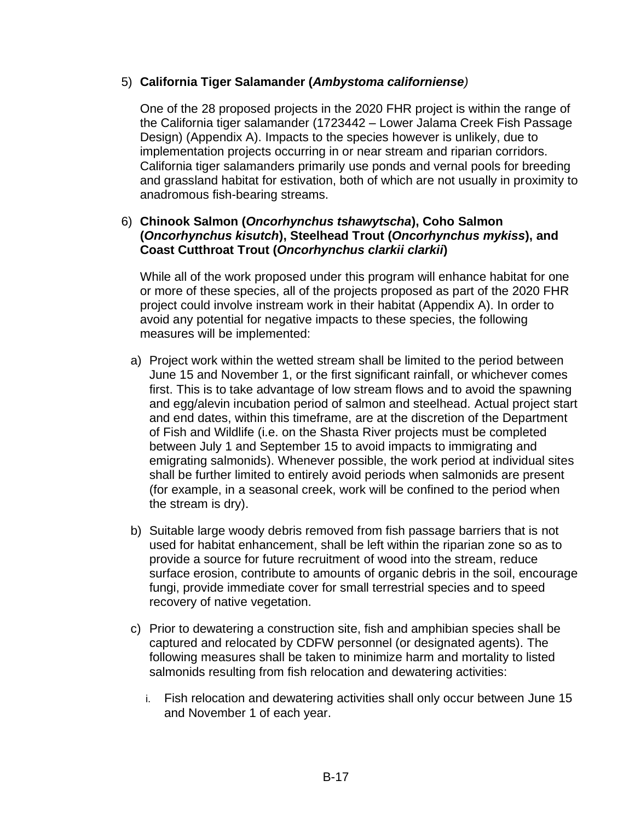### 5) **California Tiger Salamander (***Ambystoma californiense)*

One of the 28 proposed projects in the 2020 FHR project is within the range of the California tiger salamander (1723442 – Lower Jalama Creek Fish Passage Design) (Appendix A). Impacts to the species however is unlikely, due to implementation projects occurring in or near stream and riparian corridors. California tiger salamanders primarily use ponds and vernal pools for breeding and grassland habitat for estivation, both of which are not usually in proximity to anadromous fish-bearing streams.

## 6) **Chinook Salmon (***Oncorhynchus tshawytscha***), Coho Salmon (***Oncorhynchus kisutch***), Steelhead Trout (***Oncorhynchus mykiss***), and Coast Cutthroat Trout (***Oncorhynchus clarkii clarkii***)**

While all of the work proposed under this program will enhance habitat for one or more of these species, all of the projects proposed as part of the 2020 FHR project could involve instream work in their habitat (Appendix A). In order to avoid any potential for negative impacts to these species, the following measures will be implemented:

- a) Project work within the wetted stream shall be limited to the period between June 15 and November 1, or the first significant rainfall, or whichever comes first. This is to take advantage of low stream flows and to avoid the spawning and egg/alevin incubation period of salmon and steelhead. Actual project start and end dates, within this timeframe, are at the discretion of the Department of Fish and Wildlife (i.e. on the Shasta River projects must be completed between July 1 and September 15 to avoid impacts to immigrating and emigrating salmonids). Whenever possible, the work period at individual sites shall be further limited to entirely avoid periods when salmonids are present (for example, in a seasonal creek, work will be confined to the period when the stream is dry).
- b) Suitable large woody debris removed from fish passage barriers that is not used for habitat enhancement, shall be left within the riparian zone so as to provide a source for future recruitment of wood into the stream, reduce surface erosion, contribute to amounts of organic debris in the soil, encourage fungi, provide immediate cover for small terrestrial species and to speed recovery of native vegetation.
- c) Prior to dewatering a construction site, fish and amphibian species shall be captured and relocated by CDFW personnel (or designated agents). The following measures shall be taken to minimize harm and mortality to listed salmonids resulting from fish relocation and dewatering activities:
	- i. Fish relocation and dewatering activities shall only occur between June 15 and November 1 of each year.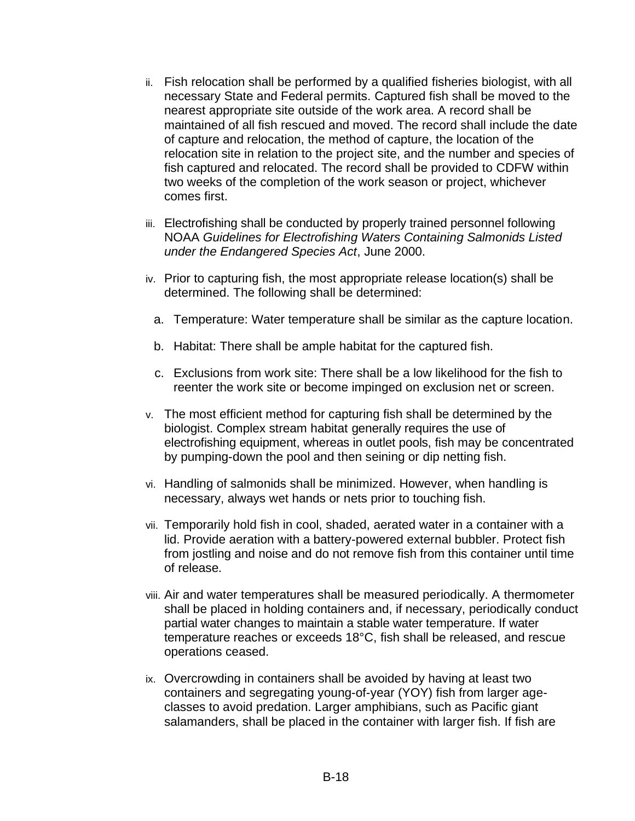- ii. Fish relocation shall be performed by a qualified fisheries biologist, with all necessary State and Federal permits. Captured fish shall be moved to the nearest appropriate site outside of the work area. A record shall be maintained of all fish rescued and moved. The record shall include the date of capture and relocation, the method of capture, the location of the relocation site in relation to the project site, and the number and species of fish captured and relocated. The record shall be provided to CDFW within two weeks of the completion of the work season or project, whichever comes first.
- iii. Electrofishing shall be conducted by properly trained personnel following NOAA *Guidelines for Electrofishing Waters Containing Salmonids Listed under the Endangered Species Act*, June 2000.
- iv. Prior to capturing fish, the most appropriate release location(s) shall be determined. The following shall be determined:
	- a. Temperature: Water temperature shall be similar as the capture location.
	- b. Habitat: There shall be ample habitat for the captured fish.
	- c. Exclusions from work site: There shall be a low likelihood for the fish to reenter the work site or become impinged on exclusion net or screen.
- v. The most efficient method for capturing fish shall be determined by the biologist. Complex stream habitat generally requires the use of electrofishing equipment, whereas in outlet pools, fish may be concentrated by pumping-down the pool and then seining or dip netting fish.
- vi. Handling of salmonids shall be minimized. However, when handling is necessary, always wet hands or nets prior to touching fish.
- vii. Temporarily hold fish in cool, shaded, aerated water in a container with a lid. Provide aeration with a battery-powered external bubbler. Protect fish from jostling and noise and do not remove fish from this container until time of release.
- viii. Air and water temperatures shall be measured periodically. A thermometer shall be placed in holding containers and, if necessary, periodically conduct partial water changes to maintain a stable water temperature. If water temperature reaches or exceeds 18°C, fish shall be released, and rescue operations ceased.
- ix. Overcrowding in containers shall be avoided by having at least two containers and segregating young-of-year (YOY) fish from larger ageclasses to avoid predation. Larger amphibians, such as Pacific giant salamanders, shall be placed in the container with larger fish. If fish are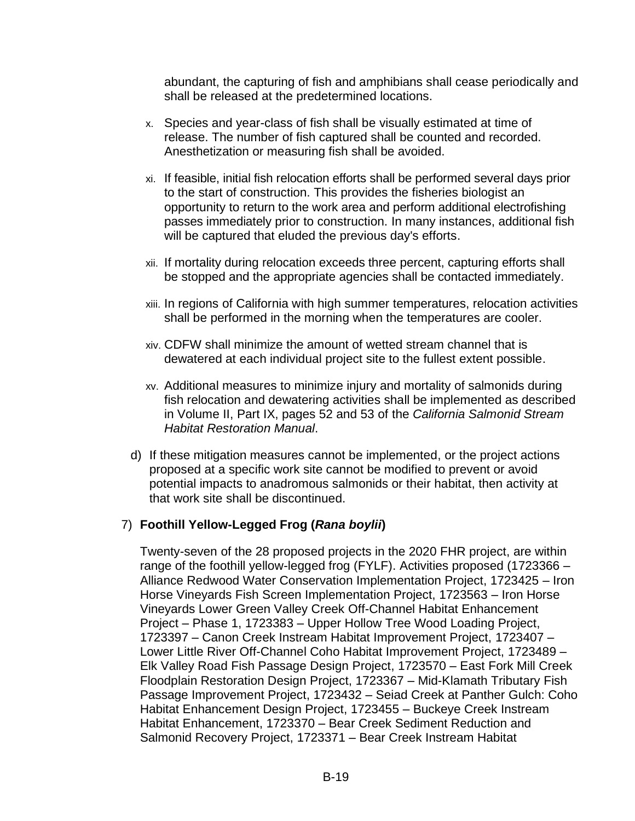abundant, the capturing of fish and amphibians shall cease periodically and shall be released at the predetermined locations.

- x. Species and year-class of fish shall be visually estimated at time of release. The number of fish captured shall be counted and recorded. Anesthetization or measuring fish shall be avoided.
- xi. If feasible, initial fish relocation efforts shall be performed several days prior to the start of construction. This provides the fisheries biologist an opportunity to return to the work area and perform additional electrofishing passes immediately prior to construction. In many instances, additional fish will be captured that eluded the previous day's efforts.
- xii. If mortality during relocation exceeds three percent, capturing efforts shall be stopped and the appropriate agencies shall be contacted immediately.
- xiii. In regions of California with high summer temperatures, relocation activities shall be performed in the morning when the temperatures are cooler.
- xiv. CDFW shall minimize the amount of wetted stream channel that is dewatered at each individual project site to the fullest extent possible.
- xv. Additional measures to minimize injury and mortality of salmonids during fish relocation and dewatering activities shall be implemented as described in Volume II, Part IX, pages 52 and 53 of the *California Salmonid Stream Habitat Restoration Manual*.
- d) If these mitigation measures cannot be implemented, or the project actions proposed at a specific work site cannot be modified to prevent or avoid potential impacts to anadromous salmonids or their habitat, then activity at that work site shall be discontinued.

# 7) **Foothill Yellow-Legged Frog (***Rana boylii***)**

Twenty-seven of the 28 proposed projects in the 2020 FHR project, are within range of the foothill yellow-legged frog (FYLF). Activities proposed (1723366 – Alliance Redwood Water Conservation Implementation Project, 1723425 – Iron Horse Vineyards Fish Screen Implementation Project, 1723563 – Iron Horse Vineyards Lower Green Valley Creek Off-Channel Habitat Enhancement Project – Phase 1, 1723383 – Upper Hollow Tree Wood Loading Project, 1723397 – Canon Creek Instream Habitat Improvement Project, 1723407 – Lower Little River Off-Channel Coho Habitat Improvement Project, 1723489 – Elk Valley Road Fish Passage Design Project, 1723570 – East Fork Mill Creek Floodplain Restoration Design Project, 1723367 – Mid-Klamath Tributary Fish Passage Improvement Project, 1723432 – Seiad Creek at Panther Gulch: Coho Habitat Enhancement Design Project, 1723455 – Buckeye Creek Instream Habitat Enhancement, 1723370 – Bear Creek Sediment Reduction and Salmonid Recovery Project, 1723371 – Bear Creek Instream Habitat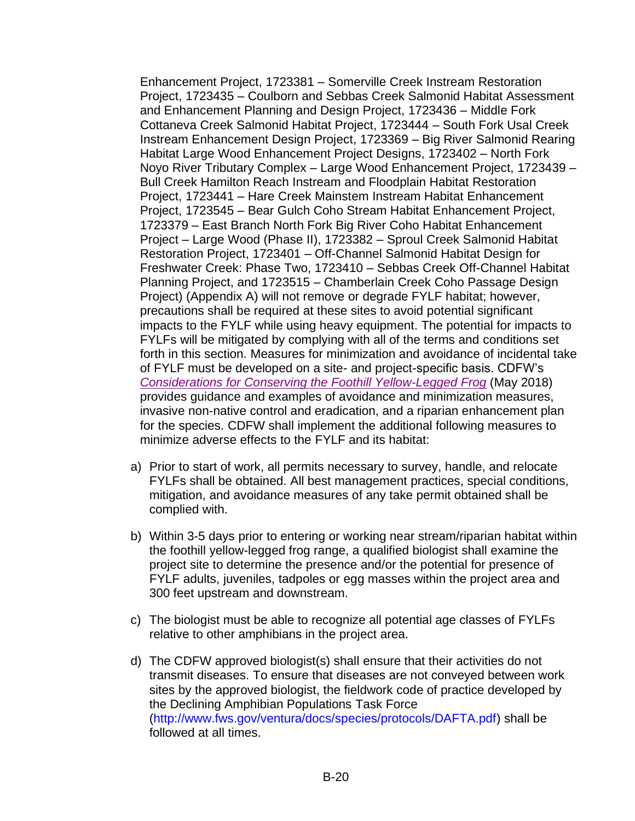Enhancement Project, 1723381 – Somerville Creek Instream Restoration Project, 1723435 – Coulborn and Sebbas Creek Salmonid Habitat Assessment and Enhancement Planning and Design Project, 1723436 – Middle Fork Cottaneva Creek Salmonid Habitat Project, 1723444 – South Fork Usal Creek Instream Enhancement Design Project, 1723369 – Big River Salmonid Rearing Habitat Large Wood Enhancement Project Designs, 1723402 – North Fork Noyo River Tributary Complex – Large Wood Enhancement Project, 1723439 – Bull Creek Hamilton Reach Instream and Floodplain Habitat Restoration Project, 1723441 – Hare Creek Mainstem Instream Habitat Enhancement Project, 1723545 – Bear Gulch Coho Stream Habitat Enhancement Project, 1723379 – East Branch North Fork Big River Coho Habitat Enhancement Project – Large Wood (Phase II), 1723382 – Sproul Creek Salmonid Habitat Restoration Project, 1723401 – Off-Channel Salmonid Habitat Design for Freshwater Creek: Phase Two, 1723410 – Sebbas Creek Off-Channel Habitat Planning Project, and 1723515 – Chamberlain Creek Coho Passage Design Project) (Appendix A) will not remove or degrade FYLF habitat; however, precautions shall be required at these sites to avoid potential significant impacts to the FYLF while using heavy equipment. The potential for impacts to FYLFs will be mitigated by complying with all of the terms and conditions set forth in this section. Measures for minimization and avoidance of incidental take of FYLF must be developed on a site- and project-specific basis. CDFW's *[Considerations for Conserving the Foothill Yellow-Legged Frog](https://nrm.dfg.ca.gov/FileHandler.ashx?DocumentID=157562)* (May 2018) provides guidance and examples of avoidance and minimization measures, invasive non-native control and eradication, and a riparian enhancement plan for the species. CDFW shall implement the additional following measures to minimize adverse effects to the FYLF and its habitat:

- a) Prior to start of work, all permits necessary to survey, handle, and relocate FYLFs shall be obtained. All best management practices, special conditions, mitigation, and avoidance measures of any take permit obtained shall be complied with.
- b) Within 3-5 days prior to entering or working near stream/riparian habitat within the foothill yellow-legged frog range, a qualified biologist shall examine the project site to determine the presence and/or the potential for presence of FYLF adults, juveniles, tadpoles or egg masses within the project area and 300 feet upstream and downstream.
- c) The biologist must be able to recognize all potential age classes of FYLFs relative to other amphibians in the project area.
- d) The CDFW approved biologist(s) shall ensure that their activities do not transmit diseases. To ensure that diseases are not conveyed between work sites by the approved biologist, the fieldwork code of practice developed by the Declining Amphibian Populations Task Force [\(http://www.fws.gov/ventura/docs/species/protocols/DAFTA.pdf\)](http://www.fws.gov/ventura/docs/species/protocols/DAFTA.pdf) shall be followed at all times.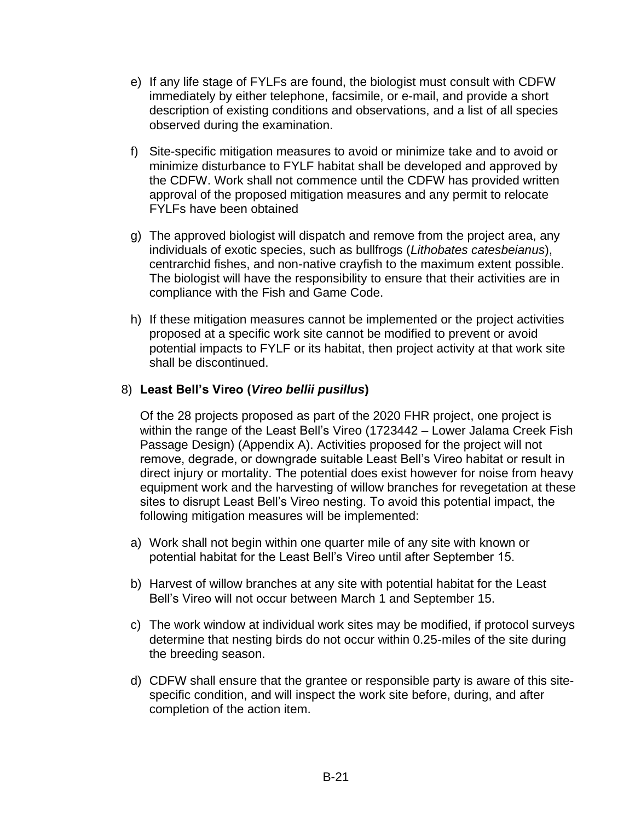- e) If any life stage of FYLFs are found, the biologist must consult with CDFW immediately by either telephone, facsimile, or e-mail, and provide a short description of existing conditions and observations, and a list of all species observed during the examination.
- f) Site-specific mitigation measures to avoid or minimize take and to avoid or minimize disturbance to FYLF habitat shall be developed and approved by the CDFW. Work shall not commence until the CDFW has provided written approval of the proposed mitigation measures and any permit to relocate FYLFs have been obtained
- g) The approved biologist will dispatch and remove from the project area, any individuals of exotic species, such as bullfrogs (*Lithobates catesbeianus*), centrarchid fishes, and non-native crayfish to the maximum extent possible. The biologist will have the responsibility to ensure that their activities are in compliance with the Fish and Game Code.
- h) If these mitigation measures cannot be implemented or the project activities proposed at a specific work site cannot be modified to prevent or avoid potential impacts to FYLF or its habitat, then project activity at that work site shall be discontinued.

## 8) **Least Bell's Vireo (***Vireo bellii pusillus***)**

Of the 28 projects proposed as part of the 2020 FHR project, one project is within the range of the Least Bell's Vireo (1723442 – Lower Jalama Creek Fish Passage Design) (Appendix A). Activities proposed for the project will not remove, degrade, or downgrade suitable Least Bell's Vireo habitat or result in direct injury or mortality. The potential does exist however for noise from heavy equipment work and the harvesting of willow branches for revegetation at these sites to disrupt Least Bell's Vireo nesting. To avoid this potential impact, the following mitigation measures will be implemented:

- a) Work shall not begin within one quarter mile of any site with known or potential habitat for the Least Bell's Vireo until after September 15.
- b) Harvest of willow branches at any site with potential habitat for the Least Bell's Vireo will not occur between March 1 and September 15.
- c) The work window at individual work sites may be modified, if protocol surveys determine that nesting birds do not occur within 0.25-miles of the site during the breeding season.
- d) CDFW shall ensure that the grantee or responsible party is aware of this sitespecific condition, and will inspect the work site before, during, and after completion of the action item.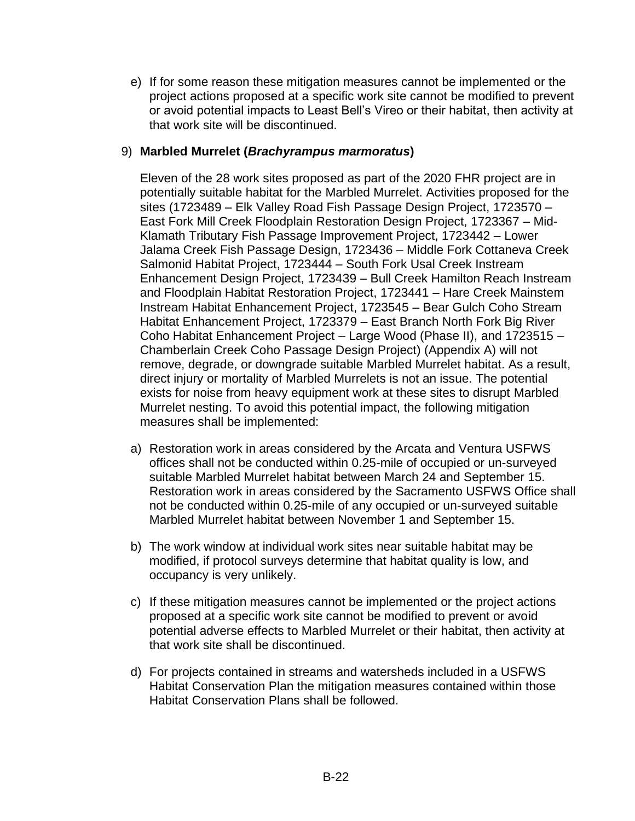e) If for some reason these mitigation measures cannot be implemented or the project actions proposed at a specific work site cannot be modified to prevent or avoid potential impacts to Least Bell's Vireo or their habitat, then activity at that work site will be discontinued.

## 9) **Marbled Murrelet (***Brachyrampus marmoratus***)**

Eleven of the 28 work sites proposed as part of the 2020 FHR project are in potentially suitable habitat for the Marbled Murrelet. Activities proposed for the sites (1723489 – Elk Valley Road Fish Passage Design Project, 1723570 – East Fork Mill Creek Floodplain Restoration Design Project, 1723367 – Mid-Klamath Tributary Fish Passage Improvement Project, 1723442 – Lower Jalama Creek Fish Passage Design, 1723436 – Middle Fork Cottaneva Creek Salmonid Habitat Project, 1723444 – South Fork Usal Creek Instream Enhancement Design Project, 1723439 – Bull Creek Hamilton Reach Instream and Floodplain Habitat Restoration Project, 1723441 – Hare Creek Mainstem Instream Habitat Enhancement Project, 1723545 – Bear Gulch Coho Stream Habitat Enhancement Project, 1723379 – East Branch North Fork Big River Coho Habitat Enhancement Project – Large Wood (Phase II), and 1723515 – Chamberlain Creek Coho Passage Design Project) (Appendix A) will not remove, degrade, or downgrade suitable Marbled Murrelet habitat. As a result, direct injury or mortality of Marbled Murrelets is not an issue. The potential exists for noise from heavy equipment work at these sites to disrupt Marbled Murrelet nesting. To avoid this potential impact, the following mitigation measures shall be implemented:

- a) Restoration work in areas considered by the Arcata and Ventura USFWS offices shall not be conducted within 0.25-mile of occupied or un-surveyed suitable Marbled Murrelet habitat between March 24 and September 15. Restoration work in areas considered by the Sacramento USFWS Office shall not be conducted within 0.25-mile of any occupied or un-surveyed suitable Marbled Murrelet habitat between November 1 and September 15.
- b) The work window at individual work sites near suitable habitat may be modified, if protocol surveys determine that habitat quality is low, and occupancy is very unlikely.
- c) If these mitigation measures cannot be implemented or the project actions proposed at a specific work site cannot be modified to prevent or avoid potential adverse effects to Marbled Murrelet or their habitat, then activity at that work site shall be discontinued.
- d) For projects contained in streams and watersheds included in a USFWS Habitat Conservation Plan the mitigation measures contained within those Habitat Conservation Plans shall be followed.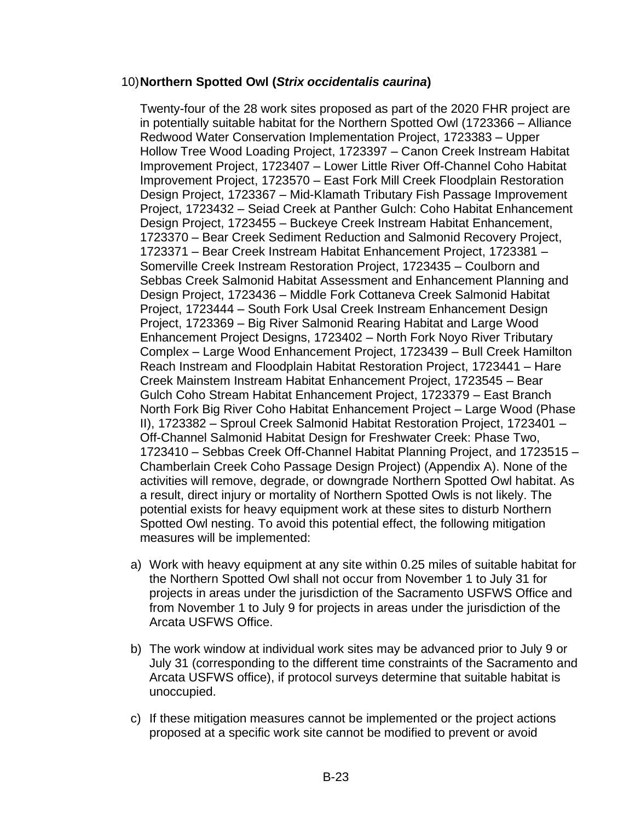#### 10)**Northern Spotted Owl (***Strix occidentalis caurina***)**

Twenty-four of the 28 work sites proposed as part of the 2020 FHR project are in potentially suitable habitat for the Northern Spotted Owl (1723366 – Alliance Redwood Water Conservation Implementation Project, 1723383 – Upper Hollow Tree Wood Loading Project, 1723397 – Canon Creek Instream Habitat Improvement Project, 1723407 – Lower Little River Off-Channel Coho Habitat Improvement Project, 1723570 – East Fork Mill Creek Floodplain Restoration Design Project, 1723367 – Mid-Klamath Tributary Fish Passage Improvement Project, 1723432 – Seiad Creek at Panther Gulch: Coho Habitat Enhancement Design Project, 1723455 – Buckeye Creek Instream Habitat Enhancement, 1723370 – Bear Creek Sediment Reduction and Salmonid Recovery Project, 1723371 – Bear Creek Instream Habitat Enhancement Project, 1723381 – Somerville Creek Instream Restoration Project, 1723435 – Coulborn and Sebbas Creek Salmonid Habitat Assessment and Enhancement Planning and Design Project, 1723436 – Middle Fork Cottaneva Creek Salmonid Habitat Project, 1723444 – South Fork Usal Creek Instream Enhancement Design Project, 1723369 – Big River Salmonid Rearing Habitat and Large Wood Enhancement Project Designs, 1723402 – North Fork Noyo River Tributary Complex – Large Wood Enhancement Project, 1723439 – Bull Creek Hamilton Reach Instream and Floodplain Habitat Restoration Project, 1723441 – Hare Creek Mainstem Instream Habitat Enhancement Project, 1723545 – Bear Gulch Coho Stream Habitat Enhancement Project, 1723379 – East Branch North Fork Big River Coho Habitat Enhancement Project – Large Wood (Phase II), 1723382 – Sproul Creek Salmonid Habitat Restoration Project, 1723401 – Off-Channel Salmonid Habitat Design for Freshwater Creek: Phase Two, 1723410 – Sebbas Creek Off-Channel Habitat Planning Project, and 1723515 – Chamberlain Creek Coho Passage Design Project) (Appendix A). None of the activities will remove, degrade, or downgrade Northern Spotted Owl habitat. As a result, direct injury or mortality of Northern Spotted Owls is not likely. The potential exists for heavy equipment work at these sites to disturb Northern Spotted Owl nesting. To avoid this potential effect, the following mitigation measures will be implemented:

- a) Work with heavy equipment at any site within 0.25 miles of suitable habitat for the Northern Spotted Owl shall not occur from November 1 to July 31 for projects in areas under the jurisdiction of the Sacramento USFWS Office and from November 1 to July 9 for projects in areas under the jurisdiction of the Arcata USFWS Office.
- b) The work window at individual work sites may be advanced prior to July 9 or July 31 (corresponding to the different time constraints of the Sacramento and Arcata USFWS office), if protocol surveys determine that suitable habitat is unoccupied.
- c) If these mitigation measures cannot be implemented or the project actions proposed at a specific work site cannot be modified to prevent or avoid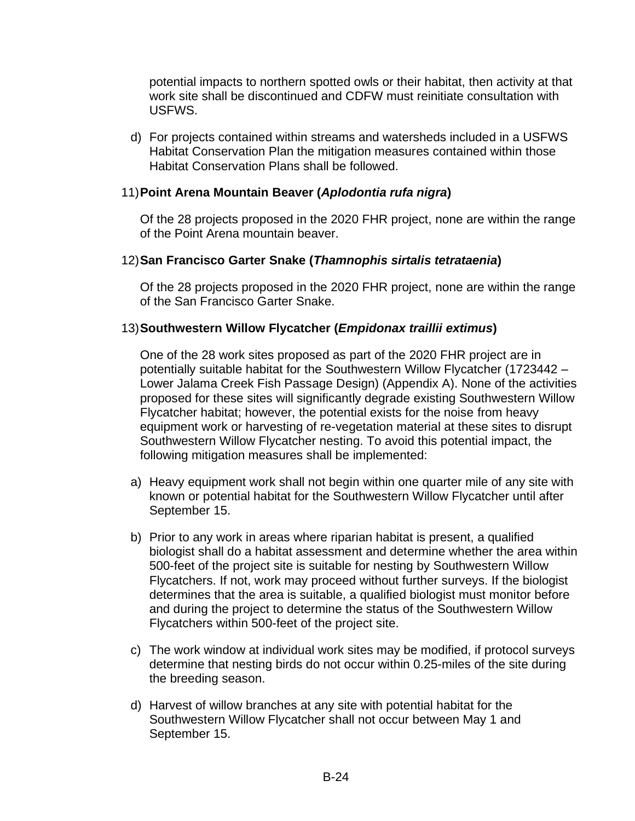potential impacts to northern spotted owls or their habitat, then activity at that work site shall be discontinued and CDFW must reinitiate consultation with **USEWS** 

d) For projects contained within streams and watersheds included in a USFWS Habitat Conservation Plan the mitigation measures contained within those Habitat Conservation Plans shall be followed.

## 11)**Point Arena Mountain Beaver (***Aplodontia rufa nigra***)**

Of the 28 projects proposed in the 2020 FHR project, none are within the range of the Point Arena mountain beaver.

## 12)**San Francisco Garter Snake (***Thamnophis sirtalis tetrataenia***)**

Of the 28 projects proposed in the 2020 FHR project, none are within the range of the San Francisco Garter Snake.

## 13)**Southwestern Willow Flycatcher (***Empidonax traillii extimus***)**

One of the 28 work sites proposed as part of the 2020 FHR project are in potentially suitable habitat for the Southwestern Willow Flycatcher (1723442 – Lower Jalama Creek Fish Passage Design) (Appendix A). None of the activities proposed for these sites will significantly degrade existing Southwestern Willow Flycatcher habitat; however, the potential exists for the noise from heavy equipment work or harvesting of re-vegetation material at these sites to disrupt Southwestern Willow Flycatcher nesting. To avoid this potential impact, the following mitigation measures shall be implemented:

- a) Heavy equipment work shall not begin within one quarter mile of any site with known or potential habitat for the Southwestern Willow Flycatcher until after September 15.
- b) Prior to any work in areas where riparian habitat is present, a qualified biologist shall do a habitat assessment and determine whether the area within 500-feet of the project site is suitable for nesting by Southwestern Willow Flycatchers. If not, work may proceed without further surveys. If the biologist determines that the area is suitable, a qualified biologist must monitor before and during the project to determine the status of the Southwestern Willow Flycatchers within 500-feet of the project site.
- c) The work window at individual work sites may be modified, if protocol surveys determine that nesting birds do not occur within 0.25-miles of the site during the breeding season.
- d) Harvest of willow branches at any site with potential habitat for the Southwestern Willow Flycatcher shall not occur between May 1 and September 15.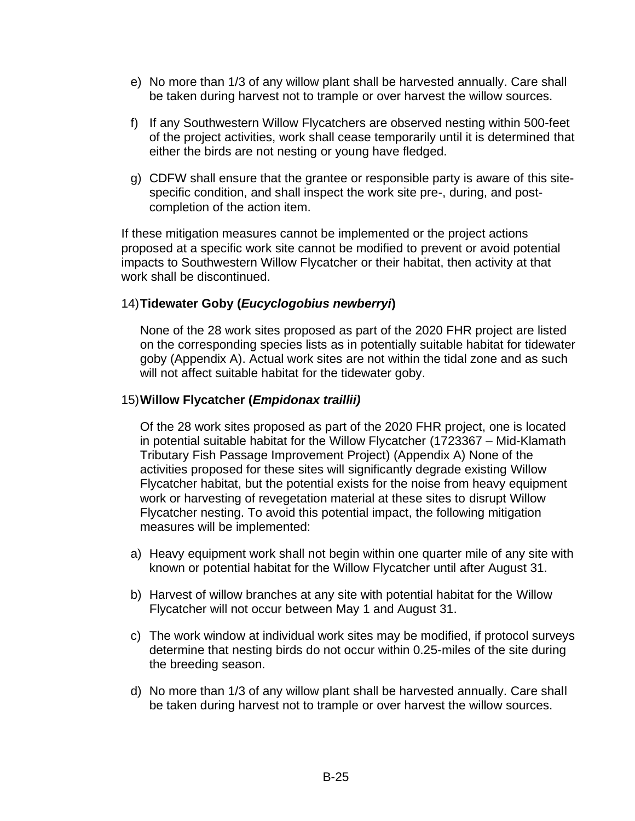- e) No more than 1/3 of any willow plant shall be harvested annually. Care shall be taken during harvest not to trample or over harvest the willow sources.
- f) If any Southwestern Willow Flycatchers are observed nesting within 500-feet of the project activities, work shall cease temporarily until it is determined that either the birds are not nesting or young have fledged.
- g) CDFW shall ensure that the grantee or responsible party is aware of this sitespecific condition, and shall inspect the work site pre-, during, and postcompletion of the action item.

If these mitigation measures cannot be implemented or the project actions proposed at a specific work site cannot be modified to prevent or avoid potential impacts to Southwestern Willow Flycatcher or their habitat, then activity at that work shall be discontinued.

## 14)**Tidewater Goby (***Eucyclogobius newberryi***)**

None of the 28 work sites proposed as part of the 2020 FHR project are listed on the corresponding species lists as in potentially suitable habitat for tidewater goby (Appendix A). Actual work sites are not within the tidal zone and as such will not affect suitable habitat for the tidewater goby.

#### 15)**Willow Flycatcher (***Empidonax traillii)*

Of the 28 work sites proposed as part of the 2020 FHR project, one is located in potential suitable habitat for the Willow Flycatcher (1723367 – Mid-Klamath Tributary Fish Passage Improvement Project) (Appendix A) None of the activities proposed for these sites will significantly degrade existing Willow Flycatcher habitat, but the potential exists for the noise from heavy equipment work or harvesting of revegetation material at these sites to disrupt Willow Flycatcher nesting. To avoid this potential impact, the following mitigation measures will be implemented:

- a) Heavy equipment work shall not begin within one quarter mile of any site with known or potential habitat for the Willow Flycatcher until after August 31.
- b) Harvest of willow branches at any site with potential habitat for the Willow Flycatcher will not occur between May 1 and August 31.
- c) The work window at individual work sites may be modified, if protocol surveys determine that nesting birds do not occur within 0.25-miles of the site during the breeding season.
- d) No more than 1/3 of any willow plant shall be harvested annually. Care shall be taken during harvest not to trample or over harvest the willow sources.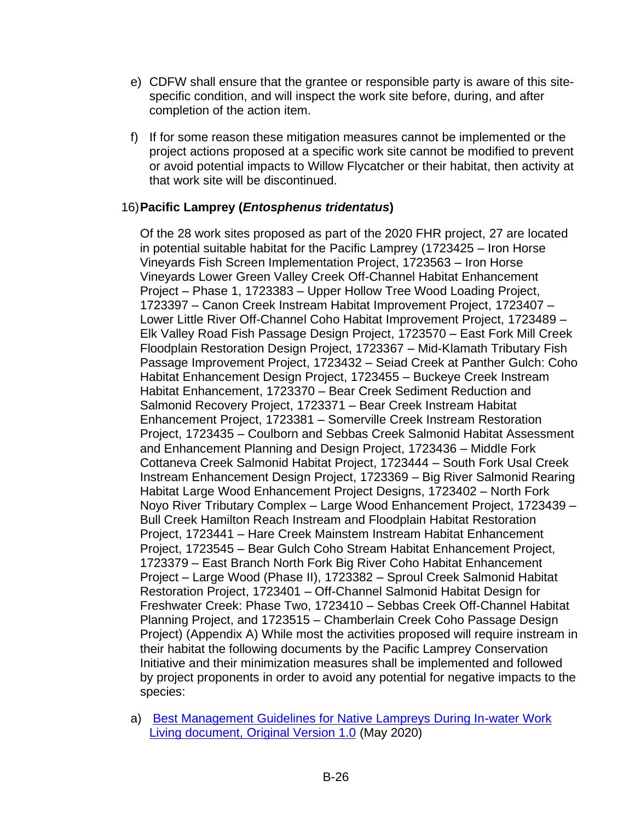- e) CDFW shall ensure that the grantee or responsible party is aware of this sitespecific condition, and will inspect the work site before, during, and after completion of the action item.
- f) If for some reason these mitigation measures cannot be implemented or the project actions proposed at a specific work site cannot be modified to prevent or avoid potential impacts to Willow Flycatcher or their habitat, then activity at that work site will be discontinued.

## 16)**Pacific Lamprey (***Entosphenus tridentatus***)**

Of the 28 work sites proposed as part of the 2020 FHR project, 27 are located in potential suitable habitat for the Pacific Lamprey (1723425 – Iron Horse Vineyards Fish Screen Implementation Project, 1723563 – Iron Horse Vineyards Lower Green Valley Creek Off-Channel Habitat Enhancement Project – Phase 1, 1723383 – Upper Hollow Tree Wood Loading Project, 1723397 – Canon Creek Instream Habitat Improvement Project, 1723407 – Lower Little River Off-Channel Coho Habitat Improvement Project, 1723489 – Elk Valley Road Fish Passage Design Project, 1723570 – East Fork Mill Creek Floodplain Restoration Design Project, 1723367 – Mid-Klamath Tributary Fish Passage Improvement Project, 1723432 – Seiad Creek at Panther Gulch: Coho Habitat Enhancement Design Project, 1723455 – Buckeye Creek Instream Habitat Enhancement, 1723370 – Bear Creek Sediment Reduction and Salmonid Recovery Project, 1723371 – Bear Creek Instream Habitat Enhancement Project, 1723381 – Somerville Creek Instream Restoration Project, 1723435 – Coulborn and Sebbas Creek Salmonid Habitat Assessment and Enhancement Planning and Design Project, 1723436 – Middle Fork Cottaneva Creek Salmonid Habitat Project, 1723444 – South Fork Usal Creek Instream Enhancement Design Project, 1723369 – Big River Salmonid Rearing Habitat Large Wood Enhancement Project Designs, 1723402 – North Fork Noyo River Tributary Complex – Large Wood Enhancement Project, 1723439 – Bull Creek Hamilton Reach Instream and Floodplain Habitat Restoration Project, 1723441 – Hare Creek Mainstem Instream Habitat Enhancement Project, 1723545 – Bear Gulch Coho Stream Habitat Enhancement Project, 1723379 – East Branch North Fork Big River Coho Habitat Enhancement Project – Large Wood (Phase II), 1723382 – Sproul Creek Salmonid Habitat Restoration Project, 1723401 – Off-Channel Salmonid Habitat Design for Freshwater Creek: Phase Two, 1723410 – Sebbas Creek Off-Channel Habitat Planning Project, and 1723515 – Chamberlain Creek Coho Passage Design Project) (Appendix A) While most the activities proposed will require instream in their habitat the following documents by the Pacific Lamprey Conservation Initiative and their minimization measures shall be implemented and followed by project proponents in order to avoid any potential for negative impacts to the species:

a) [Best Management Guidelines for Native Lampreys During In-water Work](https://www.fws.gov/pacificlamprey/Documents/2020%20Lamprey%20BMG%20Final.pdf)  [Living document, Original Version 1.0](https://www.fws.gov/pacificlamprey/Documents/2020%20Lamprey%20BMG%20Final.pdf) (May 2020)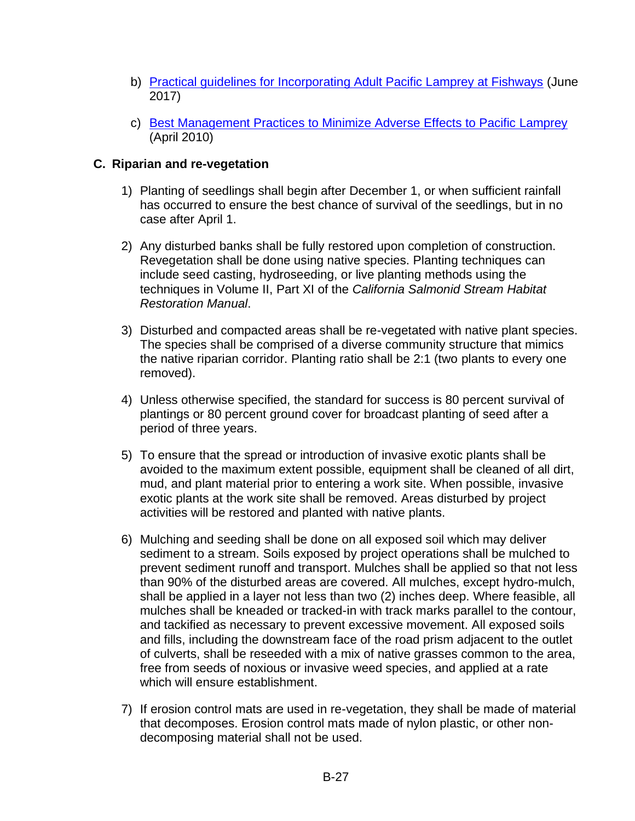- b) [Practical guidelines for Incorporating Adult Pacific Lamprey at Fishways](https://www.fws.gov/oregonfwo/Documents/Lamprey/2017.06.20%20LampreyPsgFINAL.pdf) (June 2017)
- c) [Best Management Practices to Minimize](https://www.fws.gov/oregonfwo/Documents/Lamprey/Best%20Management%20Practices%20for%20Pacific%20Lamprey%20April%202010%20Version.pdf) Adverse Effects to Pacific Lamprey (April 2010)

# **C. Riparian and re-vegetation**

- 1) Planting of seedlings shall begin after December 1, or when sufficient rainfall has occurred to ensure the best chance of survival of the seedlings, but in no case after April 1.
- 2) Any disturbed banks shall be fully restored upon completion of construction. Revegetation shall be done using native species. Planting techniques can include seed casting, hydroseeding, or live planting methods using the techniques in Volume II, Part XI of the *California Salmonid Stream Habitat Restoration Manual*.
- 3) Disturbed and compacted areas shall be re-vegetated with native plant species. The species shall be comprised of a diverse community structure that mimics the native riparian corridor. Planting ratio shall be 2:1 (two plants to every one removed).
- 4) Unless otherwise specified, the standard for success is 80 percent survival of plantings or 80 percent ground cover for broadcast planting of seed after a period of three years.
- 5) To ensure that the spread or introduction of invasive exotic plants shall be avoided to the maximum extent possible, equipment shall be cleaned of all dirt, mud, and plant material prior to entering a work site. When possible, invasive exotic plants at the work site shall be removed. Areas disturbed by project activities will be restored and planted with native plants.
- 6) Mulching and seeding shall be done on all exposed soil which may deliver sediment to a stream. Soils exposed by project operations shall be mulched to prevent sediment runoff and transport. Mulches shall be applied so that not less than 90% of the disturbed areas are covered. All mulches, except hydro-mulch, shall be applied in a layer not less than two (2) inches deep. Where feasible, all mulches shall be kneaded or tracked-in with track marks parallel to the contour, and tackified as necessary to prevent excessive movement. All exposed soils and fills, including the downstream face of the road prism adjacent to the outlet of culverts, shall be reseeded with a mix of native grasses common to the area, free from seeds of noxious or invasive weed species, and applied at a rate which will ensure establishment.
- 7) If erosion control mats are used in re-vegetation, they shall be made of material that decomposes. Erosion control mats made of nylon plastic, or other nondecomposing material shall not be used.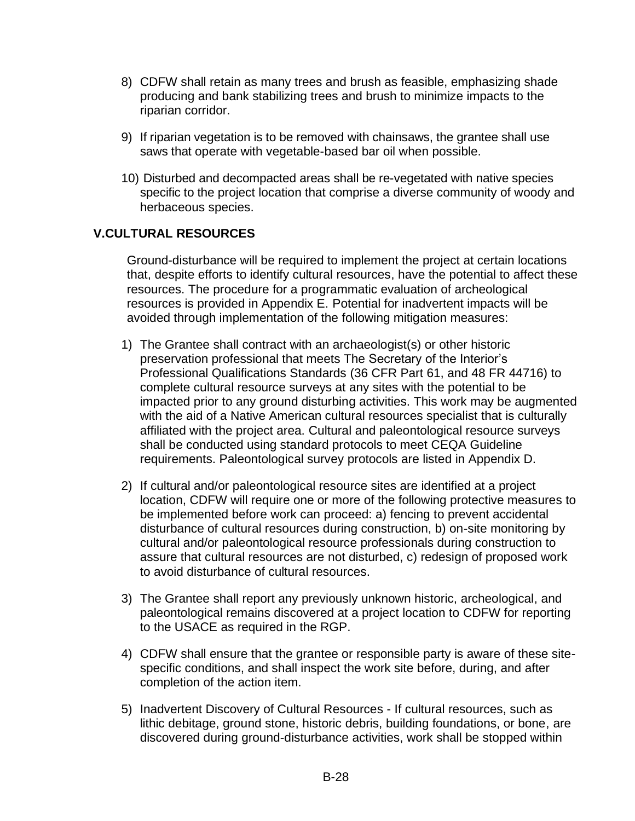- 8) CDFW shall retain as many trees and brush as feasible, emphasizing shade producing and bank stabilizing trees and brush to minimize impacts to the riparian corridor.
- 9) If riparian vegetation is to be removed with chainsaws, the grantee shall use saws that operate with vegetable-based bar oil when possible.
- 10) Disturbed and decompacted areas shall be re-vegetated with native species specific to the project location that comprise a diverse community of woody and herbaceous species.

# **V.CULTURAL RESOURCES**

Ground-disturbance will be required to implement the project at certain locations that, despite efforts to identify cultural resources, have the potential to affect these resources. The procedure for a programmatic evaluation of archeological resources is provided in Appendix E. Potential for inadvertent impacts will be avoided through implementation of the following mitigation measures:

- 1) The Grantee shall contract with an archaeologist(s) or other historic preservation professional that meets The Secretary of the Interior's Professional Qualifications Standards (36 CFR Part 61, and 48 FR 44716) to complete cultural resource surveys at any sites with the potential to be impacted prior to any ground disturbing activities. This work may be augmented with the aid of a Native American cultural resources specialist that is culturally affiliated with the project area. Cultural and paleontological resource surveys shall be conducted using standard protocols to meet CEQA Guideline requirements. Paleontological survey protocols are listed in Appendix D.
- 2) If cultural and/or paleontological resource sites are identified at a project location, CDFW will require one or more of the following protective measures to be implemented before work can proceed: a) fencing to prevent accidental disturbance of cultural resources during construction, b) on-site monitoring by cultural and/or paleontological resource professionals during construction to assure that cultural resources are not disturbed, c) redesign of proposed work to avoid disturbance of cultural resources.
- 3) The Grantee shall report any previously unknown historic, archeological, and paleontological remains discovered at a project location to CDFW for reporting to the USACE as required in the RGP.
- 4) CDFW shall ensure that the grantee or responsible party is aware of these sitespecific conditions, and shall inspect the work site before, during, and after completion of the action item.
- 5) Inadvertent Discovery of Cultural Resources If cultural resources, such as lithic debitage, ground stone, historic debris, building foundations, or bone, are discovered during ground-disturbance activities, work shall be stopped within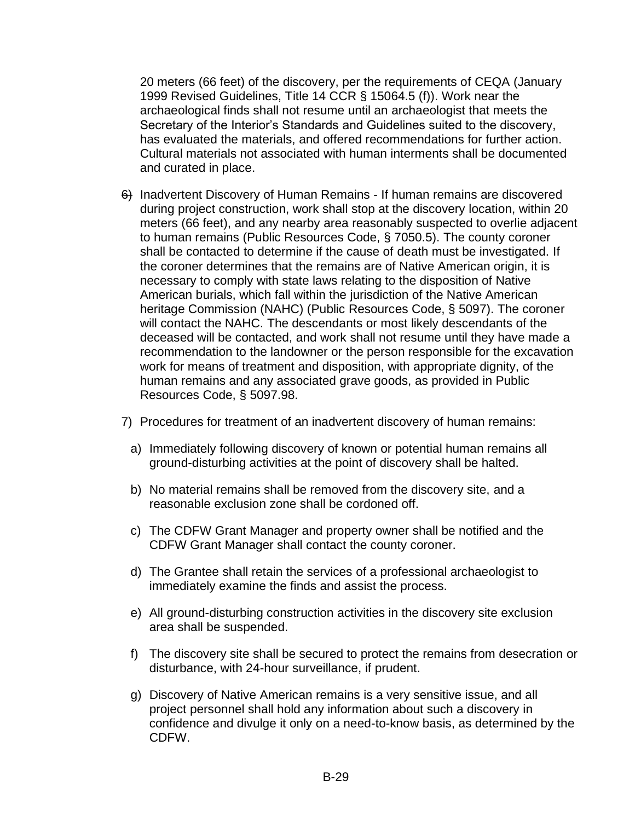20 meters (66 feet) of the discovery, per the requirements of CEQA (January 1999 Revised Guidelines, Title 14 CCR § 15064.5 (f)). Work near the archaeological finds shall not resume until an archaeologist that meets the Secretary of the Interior's Standards and Guidelines suited to the discovery, has evaluated the materials, and offered recommendations for further action. Cultural materials not associated with human interments shall be documented and curated in place.

- 6) Inadvertent Discovery of Human Remains If human remains are discovered during project construction, work shall stop at the discovery location, within 20 meters (66 feet), and any nearby area reasonably suspected to overlie adjacent to human remains (Public Resources Code, § 7050.5). The county coroner shall be contacted to determine if the cause of death must be investigated. If the coroner determines that the remains are of Native American origin, it is necessary to comply with state laws relating to the disposition of Native American burials, which fall within the jurisdiction of the Native American heritage Commission (NAHC) (Public Resources Code, § 5097). The coroner will contact the NAHC. The descendants or most likely descendants of the deceased will be contacted, and work shall not resume until they have made a recommendation to the landowner or the person responsible for the excavation work for means of treatment and disposition, with appropriate dignity, of the human remains and any associated grave goods, as provided in Public Resources Code, § 5097.98.
- 7) Procedures for treatment of an inadvertent discovery of human remains:
	- a) Immediately following discovery of known or potential human remains all ground-disturbing activities at the point of discovery shall be halted.
	- b) No material remains shall be removed from the discovery site, and a reasonable exclusion zone shall be cordoned off.
	- c) The CDFW Grant Manager and property owner shall be notified and the CDFW Grant Manager shall contact the county coroner.
	- d) The Grantee shall retain the services of a professional archaeologist to immediately examine the finds and assist the process.
	- e) All ground-disturbing construction activities in the discovery site exclusion area shall be suspended.
	- f) The discovery site shall be secured to protect the remains from desecration or disturbance, with 24-hour surveillance, if prudent.
	- g) Discovery of Native American remains is a very sensitive issue, and all project personnel shall hold any information about such a discovery in confidence and divulge it only on a need-to-know basis, as determined by the CDFW.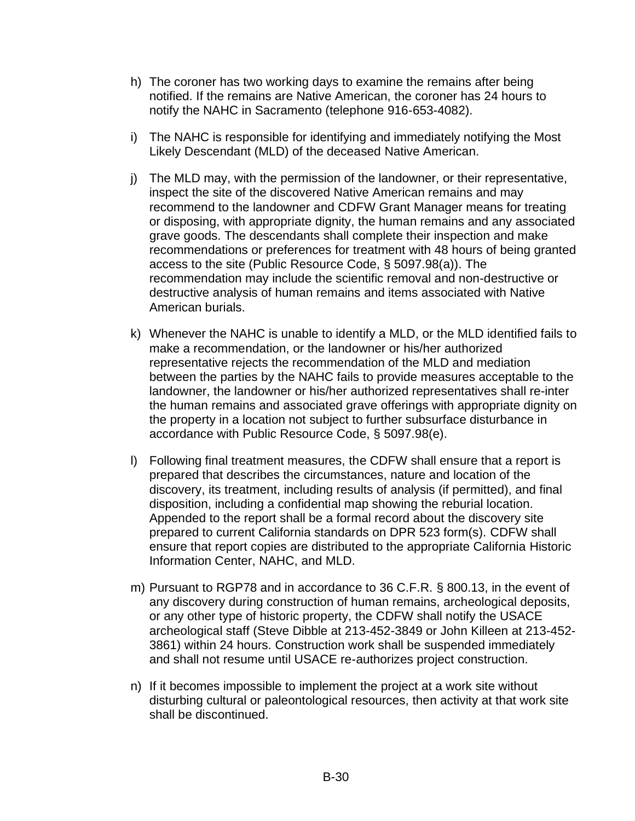- h) The coroner has two working days to examine the remains after being notified. If the remains are Native American, the coroner has 24 hours to notify the NAHC in Sacramento (telephone 916-653-4082).
- i) The NAHC is responsible for identifying and immediately notifying the Most Likely Descendant (MLD) of the deceased Native American.
- j) The MLD may, with the permission of the landowner, or their representative, inspect the site of the discovered Native American remains and may recommend to the landowner and CDFW Grant Manager means for treating or disposing, with appropriate dignity, the human remains and any associated grave goods. The descendants shall complete their inspection and make recommendations or preferences for treatment with 48 hours of being granted access to the site (Public Resource Code, § 5097.98(a)). The recommendation may include the scientific removal and non-destructive or destructive analysis of human remains and items associated with Native American burials.
- k) Whenever the NAHC is unable to identify a MLD, or the MLD identified fails to make a recommendation, or the landowner or his/her authorized representative rejects the recommendation of the MLD and mediation between the parties by the NAHC fails to provide measures acceptable to the landowner, the landowner or his/her authorized representatives shall re-inter the human remains and associated grave offerings with appropriate dignity on the property in a location not subject to further subsurface disturbance in accordance with Public Resource Code, § 5097.98(e).
- l) Following final treatment measures, the CDFW shall ensure that a report is prepared that describes the circumstances, nature and location of the discovery, its treatment, including results of analysis (if permitted), and final disposition, including a confidential map showing the reburial location. Appended to the report shall be a formal record about the discovery site prepared to current California standards on DPR 523 form(s). CDFW shall ensure that report copies are distributed to the appropriate California Historic Information Center, NAHC, and MLD.
- m) Pursuant to RGP78 and in accordance to 36 C.F.R. § 800.13, in the event of any discovery during construction of human remains, archeological deposits, or any other type of historic property, the CDFW shall notify the USACE archeological staff (Steve Dibble at 213-452-3849 or John Killeen at 213-452- 3861) within 24 hours. Construction work shall be suspended immediately and shall not resume until USACE re-authorizes project construction.
- n) If it becomes impossible to implement the project at a work site without disturbing cultural or paleontological resources, then activity at that work site shall be discontinued.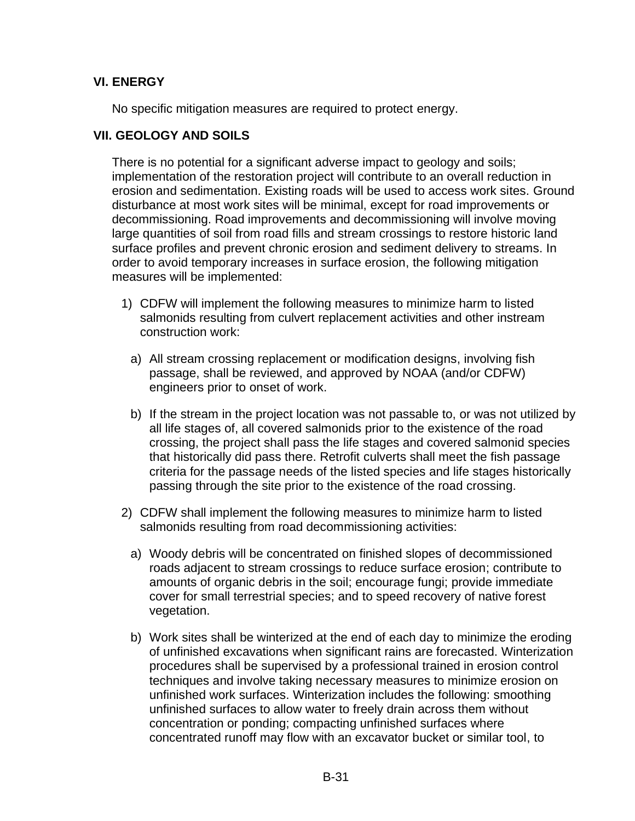# **VI. ENERGY**

No specific mitigation measures are required to protect energy.

## **VII. GEOLOGY AND SOILS**

There is no potential for a significant adverse impact to geology and soils; implementation of the restoration project will contribute to an overall reduction in erosion and sedimentation. Existing roads will be used to access work sites. Ground disturbance at most work sites will be minimal, except for road improvements or decommissioning. Road improvements and decommissioning will involve moving large quantities of soil from road fills and stream crossings to restore historic land surface profiles and prevent chronic erosion and sediment delivery to streams. In order to avoid temporary increases in surface erosion, the following mitigation measures will be implemented:

- 1) CDFW will implement the following measures to minimize harm to listed salmonids resulting from culvert replacement activities and other instream construction work:
	- a) All stream crossing replacement or modification designs, involving fish passage, shall be reviewed, and approved by NOAA (and/or CDFW) engineers prior to onset of work.
	- b) If the stream in the project location was not passable to, or was not utilized by all life stages of, all covered salmonids prior to the existence of the road crossing, the project shall pass the life stages and covered salmonid species that historically did pass there. Retrofit culverts shall meet the fish passage criteria for the passage needs of the listed species and life stages historically passing through the site prior to the existence of the road crossing.
- 2) CDFW shall implement the following measures to minimize harm to listed salmonids resulting from road decommissioning activities:
	- a) Woody debris will be concentrated on finished slopes of decommissioned roads adjacent to stream crossings to reduce surface erosion; contribute to amounts of organic debris in the soil; encourage fungi; provide immediate cover for small terrestrial species; and to speed recovery of native forest vegetation.
	- b) Work sites shall be winterized at the end of each day to minimize the eroding of unfinished excavations when significant rains are forecasted. Winterization procedures shall be supervised by a professional trained in erosion control techniques and involve taking necessary measures to minimize erosion on unfinished work surfaces. Winterization includes the following: smoothing unfinished surfaces to allow water to freely drain across them without concentration or ponding; compacting unfinished surfaces where concentrated runoff may flow with an excavator bucket or similar tool, to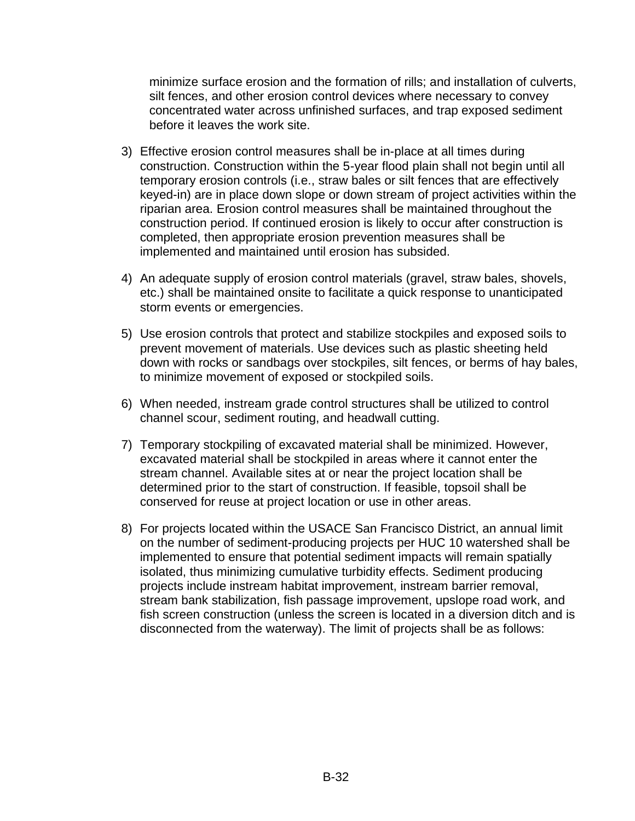minimize surface erosion and the formation of rills; and installation of culverts, silt fences, and other erosion control devices where necessary to convey concentrated water across unfinished surfaces, and trap exposed sediment before it leaves the work site.

- 3) Effective erosion control measures shall be in-place at all times during construction. Construction within the 5-year flood plain shall not begin until all temporary erosion controls (i.e., straw bales or silt fences that are effectively keyed-in) are in place down slope or down stream of project activities within the riparian area. Erosion control measures shall be maintained throughout the construction period. If continued erosion is likely to occur after construction is completed, then appropriate erosion prevention measures shall be implemented and maintained until erosion has subsided.
- 4) An adequate supply of erosion control materials (gravel, straw bales, shovels, etc.) shall be maintained onsite to facilitate a quick response to unanticipated storm events or emergencies.
- 5) Use erosion controls that protect and stabilize stockpiles and exposed soils to prevent movement of materials. Use devices such as plastic sheeting held down with rocks or sandbags over stockpiles, silt fences, or berms of hay bales, to minimize movement of exposed or stockpiled soils.
- 6) When needed, instream grade control structures shall be utilized to control channel scour, sediment routing, and headwall cutting.
- 7) Temporary stockpiling of excavated material shall be minimized. However, excavated material shall be stockpiled in areas where it cannot enter the stream channel. Available sites at or near the project location shall be determined prior to the start of construction. If feasible, topsoil shall be conserved for reuse at project location or use in other areas.
- 8) For projects located within the USACE San Francisco District, an annual limit on the number of sediment-producing projects per HUC 10 watershed shall be implemented to ensure that potential sediment impacts will remain spatially isolated, thus minimizing cumulative turbidity effects. Sediment producing projects include instream habitat improvement, instream barrier removal, stream bank stabilization, fish passage improvement, upslope road work, and fish screen construction (unless the screen is located in a diversion ditch and is disconnected from the waterway). The limit of projects shall be as follows: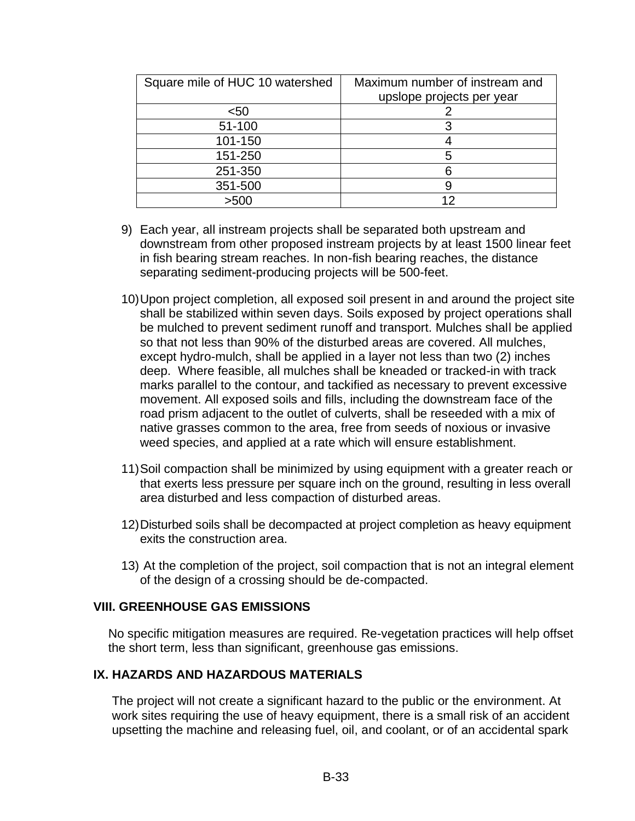| Square mile of HUC 10 watershed | Maximum number of instream and |
|---------------------------------|--------------------------------|
|                                 | upslope projects per year      |
| $50$                            |                                |
| 51-100                          |                                |
| 101-150                         |                                |
| 151-250                         | 5                              |
| 251-350                         | ิค                             |
| 351-500                         |                                |
| >500                            | 12                             |

- 9) Each year, all instream projects shall be separated both upstream and downstream from other proposed instream projects by at least 1500 linear feet in fish bearing stream reaches. In non-fish bearing reaches, the distance separating sediment-producing projects will be 500-feet.
- 10)Upon project completion, all exposed soil present in and around the project site shall be stabilized within seven days. Soils exposed by project operations shall be mulched to prevent sediment runoff and transport. Mulches shall be applied so that not less than 90% of the disturbed areas are covered. All mulches, except hydro-mulch, shall be applied in a layer not less than two (2) inches deep. Where feasible, all mulches shall be kneaded or tracked-in with track marks parallel to the contour, and tackified as necessary to prevent excessive movement. All exposed soils and fills, including the downstream face of the road prism adjacent to the outlet of culverts, shall be reseeded with a mix of native grasses common to the area, free from seeds of noxious or invasive weed species, and applied at a rate which will ensure establishment.
- 11)Soil compaction shall be minimized by using equipment with a greater reach or that exerts less pressure per square inch on the ground, resulting in less overall area disturbed and less compaction of disturbed areas.
- 12)Disturbed soils shall be decompacted at project completion as heavy equipment exits the construction area.
- 13) At the completion of the project, soil compaction that is not an integral element of the design of a crossing should be de-compacted.

#### **VIII. GREENHOUSE GAS EMISSIONS**

No specific mitigation measures are required. Re-vegetation practices will help offset the short term, less than significant, greenhouse gas emissions.

#### **IX. HAZARDS AND HAZARDOUS MATERIALS**

The project will not create a significant hazard to the public or the environment. At work sites requiring the use of heavy equipment, there is a small risk of an accident upsetting the machine and releasing fuel, oil, and coolant, or of an accidental spark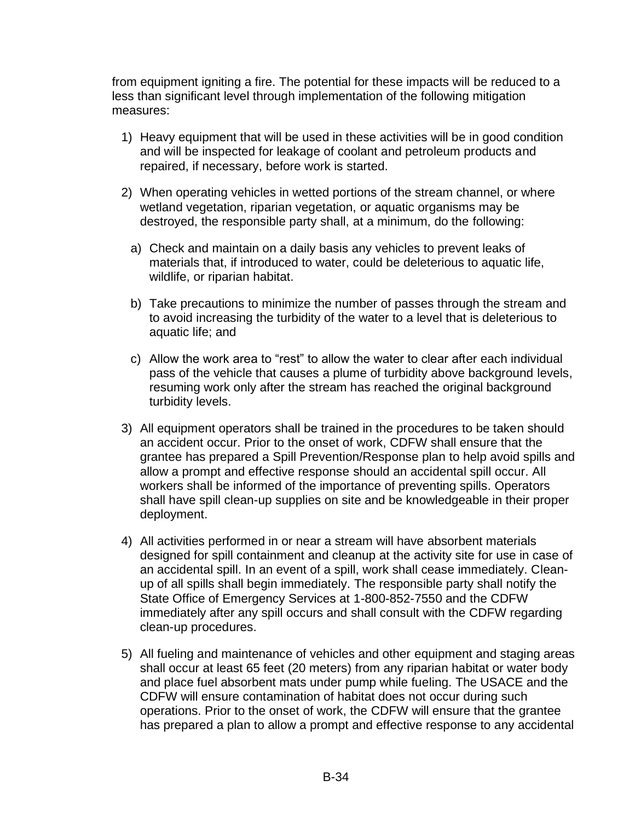from equipment igniting a fire. The potential for these impacts will be reduced to a less than significant level through implementation of the following mitigation measures:

- 1) Heavy equipment that will be used in these activities will be in good condition and will be inspected for leakage of coolant and petroleum products and repaired, if necessary, before work is started.
- 2) When operating vehicles in wetted portions of the stream channel, or where wetland vegetation, riparian vegetation, or aquatic organisms may be destroyed, the responsible party shall, at a minimum, do the following:
	- a) Check and maintain on a daily basis any vehicles to prevent leaks of materials that, if introduced to water, could be deleterious to aquatic life, wildlife, or riparian habitat.
	- b) Take precautions to minimize the number of passes through the stream and to avoid increasing the turbidity of the water to a level that is deleterious to aquatic life; and
	- c) Allow the work area to "rest" to allow the water to clear after each individual pass of the vehicle that causes a plume of turbidity above background levels, resuming work only after the stream has reached the original background turbidity levels.
- 3) All equipment operators shall be trained in the procedures to be taken should an accident occur. Prior to the onset of work, CDFW shall ensure that the grantee has prepared a Spill Prevention/Response plan to help avoid spills and allow a prompt and effective response should an accidental spill occur. All workers shall be informed of the importance of preventing spills. Operators shall have spill clean-up supplies on site and be knowledgeable in their proper deployment.
- 4) All activities performed in or near a stream will have absorbent materials designed for spill containment and cleanup at the activity site for use in case of an accidental spill. In an event of a spill, work shall cease immediately. Cleanup of all spills shall begin immediately. The responsible party shall notify the State Office of Emergency Services at 1-800-852-7550 and the CDFW immediately after any spill occurs and shall consult with the CDFW regarding clean-up procedures.
- 5) All fueling and maintenance of vehicles and other equipment and staging areas shall occur at least 65 feet (20 meters) from any riparian habitat or water body and place fuel absorbent mats under pump while fueling. The USACE and the CDFW will ensure contamination of habitat does not occur during such operations. Prior to the onset of work, the CDFW will ensure that the grantee has prepared a plan to allow a prompt and effective response to any accidental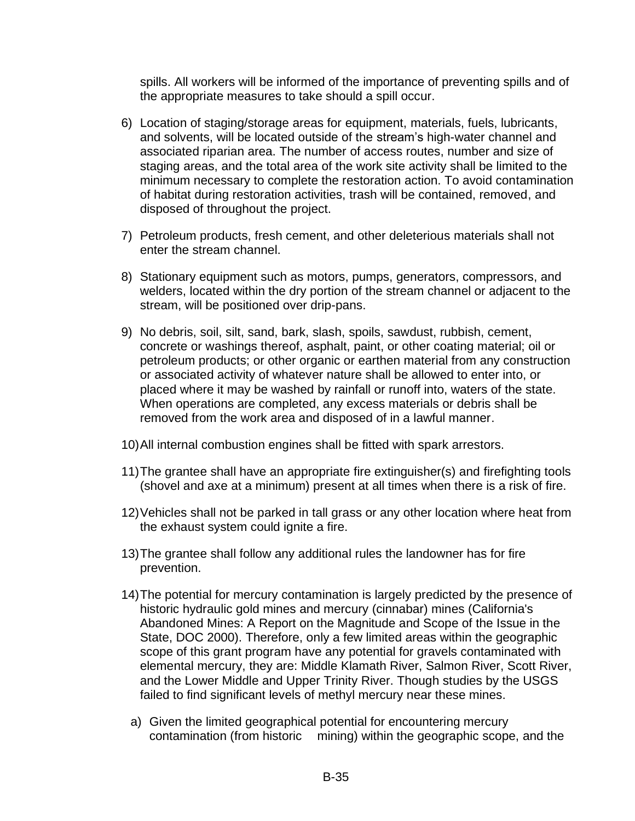spills. All workers will be informed of the importance of preventing spills and of the appropriate measures to take should a spill occur.

- 6) Location of staging/storage areas for equipment, materials, fuels, lubricants, and solvents, will be located outside of the stream's high-water channel and associated riparian area. The number of access routes, number and size of staging areas, and the total area of the work site activity shall be limited to the minimum necessary to complete the restoration action. To avoid contamination of habitat during restoration activities, trash will be contained, removed, and disposed of throughout the project.
- 7) Petroleum products, fresh cement, and other deleterious materials shall not enter the stream channel.
- 8) Stationary equipment such as motors, pumps, generators, compressors, and welders, located within the dry portion of the stream channel or adjacent to the stream, will be positioned over drip-pans.
- 9) No debris, soil, silt, sand, bark, slash, spoils, sawdust, rubbish, cement, concrete or washings thereof, asphalt, paint, or other coating material; oil or petroleum products; or other organic or earthen material from any construction or associated activity of whatever nature shall be allowed to enter into, or placed where it may be washed by rainfall or runoff into, waters of the state. When operations are completed, any excess materials or debris shall be removed from the work area and disposed of in a lawful manner.
- 10)All internal combustion engines shall be fitted with spark arrestors.
- 11)The grantee shall have an appropriate fire extinguisher(s) and firefighting tools (shovel and axe at a minimum) present at all times when there is a risk of fire.
- 12)Vehicles shall not be parked in tall grass or any other location where heat from the exhaust system could ignite a fire.
- 13)The grantee shall follow any additional rules the landowner has for fire prevention.
- 14)The potential for mercury contamination is largely predicted by the presence of historic hydraulic gold mines and mercury (cinnabar) mines (California's Abandoned Mines: A Report on the Magnitude and Scope of the Issue in the State, DOC 2000). Therefore, only a few limited areas within the geographic scope of this grant program have any potential for gravels contaminated with elemental mercury, they are: Middle Klamath River, Salmon River, Scott River, and the Lower Middle and Upper Trinity River. Though studies by the USGS failed to find significant levels of methyl mercury near these mines.
	- a) Given the limited geographical potential for encountering mercury contamination (from historic mining) within the geographic scope, and the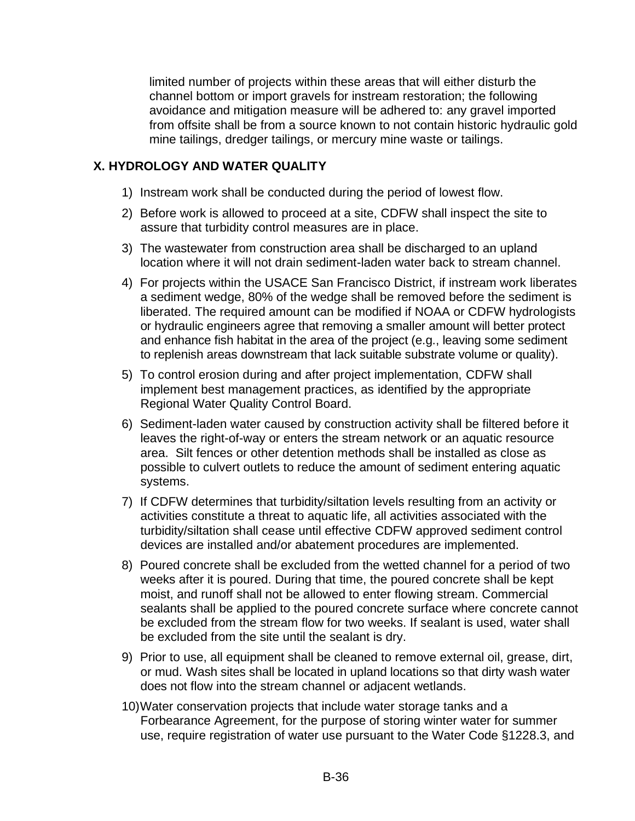limited number of projects within these areas that will either disturb the channel bottom or import gravels for instream restoration; the following avoidance and mitigation measure will be adhered to: any gravel imported from offsite shall be from a source known to not contain historic hydraulic gold mine tailings, dredger tailings, or mercury mine waste or tailings.

# **X. HYDROLOGY AND WATER QUALITY**

- 1) Instream work shall be conducted during the period of lowest flow.
- 2) Before work is allowed to proceed at a site, CDFW shall inspect the site to assure that turbidity control measures are in place.
- 3) The wastewater from construction area shall be discharged to an upland location where it will not drain sediment-laden water back to stream channel.
- 4) For projects within the USACE San Francisco District, if instream work liberates a sediment wedge, 80% of the wedge shall be removed before the sediment is liberated. The required amount can be modified if NOAA or CDFW hydrologists or hydraulic engineers agree that removing a smaller amount will better protect and enhance fish habitat in the area of the project (e.g., leaving some sediment to replenish areas downstream that lack suitable substrate volume or quality).
- 5) To control erosion during and after project implementation, CDFW shall implement best management practices, as identified by the appropriate Regional Water Quality Control Board.
- 6) Sediment-laden water caused by construction activity shall be filtered before it leaves the right-of-way or enters the stream network or an aquatic resource area. Silt fences or other detention methods shall be installed as close as possible to culvert outlets to reduce the amount of sediment entering aquatic systems.
- 7) If CDFW determines that turbidity/siltation levels resulting from an activity or activities constitute a threat to aquatic life, all activities associated with the turbidity/siltation shall cease until effective CDFW approved sediment control devices are installed and/or abatement procedures are implemented.
- 8) Poured concrete shall be excluded from the wetted channel for a period of two weeks after it is poured. During that time, the poured concrete shall be kept moist, and runoff shall not be allowed to enter flowing stream. Commercial sealants shall be applied to the poured concrete surface where concrete cannot be excluded from the stream flow for two weeks. If sealant is used, water shall be excluded from the site until the sealant is dry.
- 9) Prior to use, all equipment shall be cleaned to remove external oil, grease, dirt, or mud. Wash sites shall be located in upland locations so that dirty wash water does not flow into the stream channel or adjacent wetlands.
- 10)Water conservation projects that include water storage tanks and a Forbearance Agreement, for the purpose of storing winter water for summer use, require registration of water use pursuant to the Water Code §1228.3, and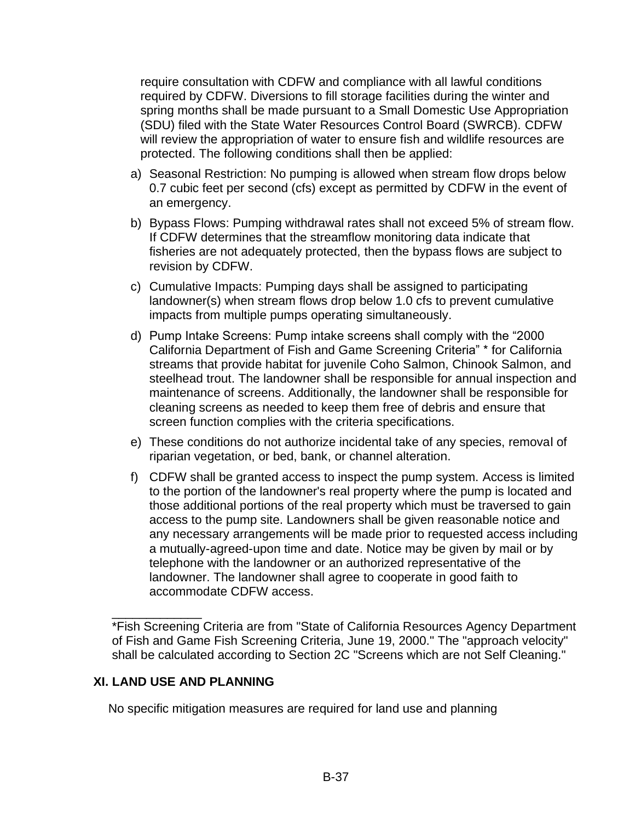require consultation with CDFW and compliance with all lawful conditions required by CDFW. Diversions to fill storage facilities during the winter and spring months shall be made pursuant to a Small Domestic Use Appropriation (SDU) filed with the State Water Resources Control Board (SWRCB). CDFW will review the appropriation of water to ensure fish and wildlife resources are protected. The following conditions shall then be applied:

- a) Seasonal Restriction: No pumping is allowed when stream flow drops below 0.7 cubic feet per second (cfs) except as permitted by CDFW in the event of an emergency.
- b) Bypass Flows: Pumping withdrawal rates shall not exceed 5% of stream flow. If CDFW determines that the streamflow monitoring data indicate that fisheries are not adequately protected, then the bypass flows are subject to revision by CDFW.
- c) Cumulative Impacts: Pumping days shall be assigned to participating landowner(s) when stream flows drop below 1.0 cfs to prevent cumulative impacts from multiple pumps operating simultaneously.
- d) Pump Intake Screens: Pump intake screens shall comply with the "2000 California Department of Fish and Game Screening Criteria" \* for California streams that provide habitat for juvenile Coho Salmon, Chinook Salmon, and steelhead trout. The landowner shall be responsible for annual inspection and maintenance of screens. Additionally, the landowner shall be responsible for cleaning screens as needed to keep them free of debris and ensure that screen function complies with the criteria specifications.
- e) These conditions do not authorize incidental take of any species, removal of riparian vegetation, or bed, bank, or channel alteration.
- f) CDFW shall be granted access to inspect the pump system. Access is limited to the portion of the landowner's real property where the pump is located and those additional portions of the real property which must be traversed to gain access to the pump site. Landowners shall be given reasonable notice and any necessary arrangements will be made prior to requested access including a mutually-agreed-upon time and date. Notice may be given by mail or by telephone with the landowner or an authorized representative of the landowner. The landowner shall agree to cooperate in good faith to accommodate CDFW access.

\*Fish Screening Criteria are from "State of California Resources Agency Department of Fish and Game Fish Screening Criteria, June 19, 2000." The "approach velocity" shall be calculated according to Section 2C "Screens which are not Self Cleaning."

#### **XI. LAND USE AND PLANNING**

\_\_\_\_\_\_\_\_\_\_\_\_\_

No specific mitigation measures are required for land use and planning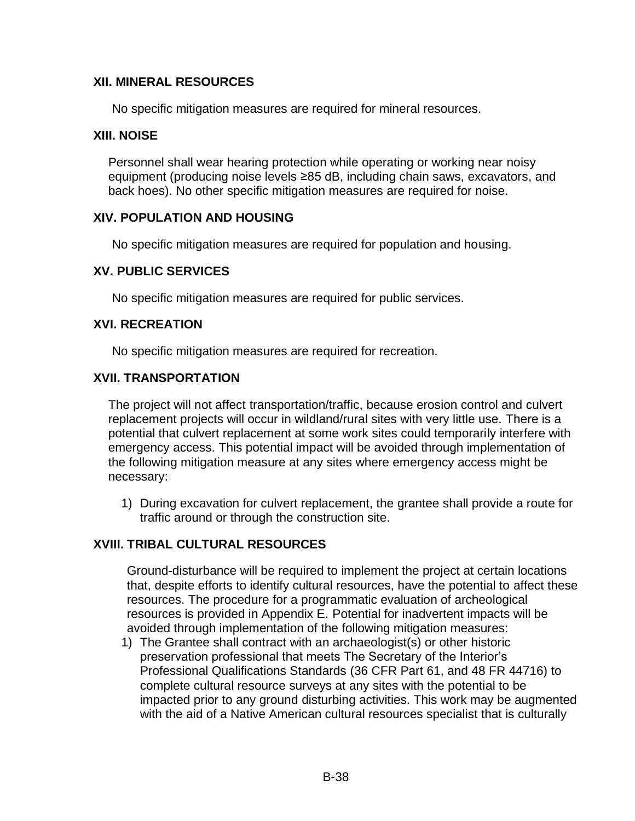# **XII. MINERAL RESOURCES**

No specific mitigation measures are required for mineral resources.

#### **XIII. NOISE**

Personnel shall wear hearing protection while operating or working near noisy equipment (producing noise levels ≥85 dB, including chain saws, excavators, and back hoes). No other specific mitigation measures are required for noise.

## **XIV. POPULATION AND HOUSING**

No specific mitigation measures are required for population and housing.

#### **XV. PUBLIC SERVICES**

No specific mitigation measures are required for public services.

## **XVI. RECREATION**

No specific mitigation measures are required for recreation.

#### **XVII. TRANSPORTATION**

The project will not affect transportation/traffic, because erosion control and culvert replacement projects will occur in wildland/rural sites with very little use. There is a potential that culvert replacement at some work sites could temporarily interfere with emergency access. This potential impact will be avoided through implementation of the following mitigation measure at any sites where emergency access might be necessary:

1) During excavation for culvert replacement, the grantee shall provide a route for traffic around or through the construction site.

# **XVIII. TRIBAL CULTURAL RESOURCES**

Ground-disturbance will be required to implement the project at certain locations that, despite efforts to identify cultural resources, have the potential to affect these resources. The procedure for a programmatic evaluation of archeological resources is provided in Appendix E. Potential for inadvertent impacts will be avoided through implementation of the following mitigation measures:

1) The Grantee shall contract with an archaeologist(s) or other historic preservation professional that meets The Secretary of the Interior's Professional Qualifications Standards (36 CFR Part 61, and 48 FR 44716) to complete cultural resource surveys at any sites with the potential to be impacted prior to any ground disturbing activities. This work may be augmented with the aid of a Native American cultural resources specialist that is culturally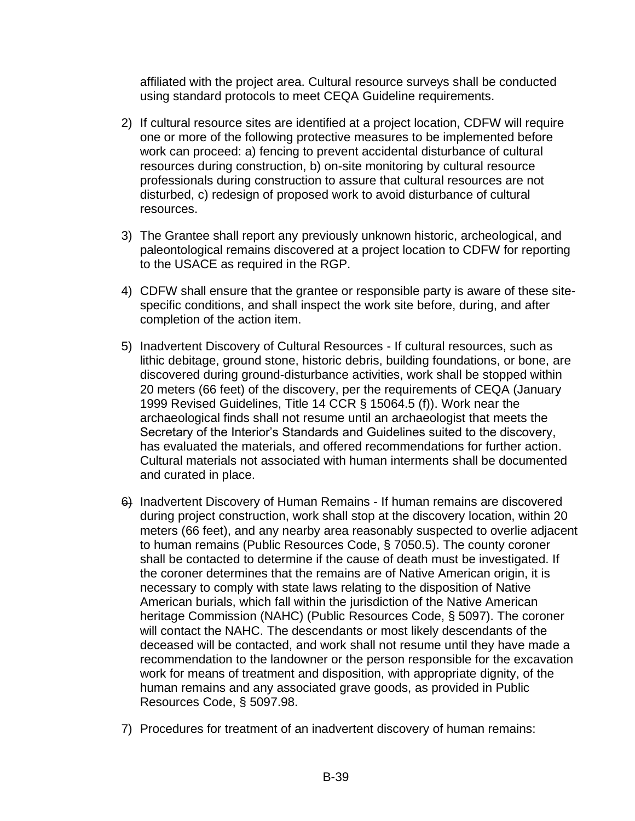affiliated with the project area. Cultural resource surveys shall be conducted using standard protocols to meet CEQA Guideline requirements.

- 2) If cultural resource sites are identified at a project location, CDFW will require one or more of the following protective measures to be implemented before work can proceed: a) fencing to prevent accidental disturbance of cultural resources during construction, b) on-site monitoring by cultural resource professionals during construction to assure that cultural resources are not disturbed, c) redesign of proposed work to avoid disturbance of cultural resources.
- 3) The Grantee shall report any previously unknown historic, archeological, and paleontological remains discovered at a project location to CDFW for reporting to the USACE as required in the RGP.
- 4) CDFW shall ensure that the grantee or responsible party is aware of these sitespecific conditions, and shall inspect the work site before, during, and after completion of the action item.
- 5) Inadvertent Discovery of Cultural Resources If cultural resources, such as lithic debitage, ground stone, historic debris, building foundations, or bone, are discovered during ground-disturbance activities, work shall be stopped within 20 meters (66 feet) of the discovery, per the requirements of CEQA (January 1999 Revised Guidelines, Title 14 CCR § 15064.5 (f)). Work near the archaeological finds shall not resume until an archaeologist that meets the Secretary of the Interior's Standards and Guidelines suited to the discovery, has evaluated the materials, and offered recommendations for further action. Cultural materials not associated with human interments shall be documented and curated in place.
- 6) Inadvertent Discovery of Human Remains If human remains are discovered during project construction, work shall stop at the discovery location, within 20 meters (66 feet), and any nearby area reasonably suspected to overlie adjacent to human remains (Public Resources Code, § 7050.5). The county coroner shall be contacted to determine if the cause of death must be investigated. If the coroner determines that the remains are of Native American origin, it is necessary to comply with state laws relating to the disposition of Native American burials, which fall within the jurisdiction of the Native American heritage Commission (NAHC) (Public Resources Code, § 5097). The coroner will contact the NAHC. The descendants or most likely descendants of the deceased will be contacted, and work shall not resume until they have made a recommendation to the landowner or the person responsible for the excavation work for means of treatment and disposition, with appropriate dignity, of the human remains and any associated grave goods, as provided in Public Resources Code, § 5097.98.
- 7) Procedures for treatment of an inadvertent discovery of human remains: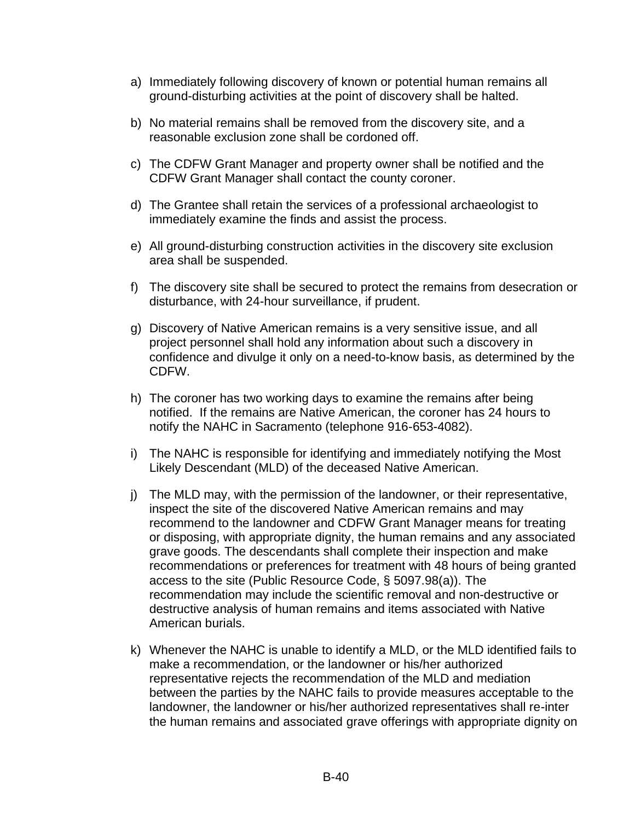- a) Immediately following discovery of known or potential human remains all ground-disturbing activities at the point of discovery shall be halted.
- b) No material remains shall be removed from the discovery site, and a reasonable exclusion zone shall be cordoned off.
- c) The CDFW Grant Manager and property owner shall be notified and the CDFW Grant Manager shall contact the county coroner.
- d) The Grantee shall retain the services of a professional archaeologist to immediately examine the finds and assist the process.
- e) All ground-disturbing construction activities in the discovery site exclusion area shall be suspended.
- f) The discovery site shall be secured to protect the remains from desecration or disturbance, with 24-hour surveillance, if prudent.
- g) Discovery of Native American remains is a very sensitive issue, and all project personnel shall hold any information about such a discovery in confidence and divulge it only on a need-to-know basis, as determined by the CDFW.
- h) The coroner has two working days to examine the remains after being notified. If the remains are Native American, the coroner has 24 hours to notify the NAHC in Sacramento (telephone 916-653-4082).
- i) The NAHC is responsible for identifying and immediately notifying the Most Likely Descendant (MLD) of the deceased Native American.
- j) The MLD may, with the permission of the landowner, or their representative, inspect the site of the discovered Native American remains and may recommend to the landowner and CDFW Grant Manager means for treating or disposing, with appropriate dignity, the human remains and any associated grave goods. The descendants shall complete their inspection and make recommendations or preferences for treatment with 48 hours of being granted access to the site (Public Resource Code, § 5097.98(a)). The recommendation may include the scientific removal and non-destructive or destructive analysis of human remains and items associated with Native American burials.
- k) Whenever the NAHC is unable to identify a MLD, or the MLD identified fails to make a recommendation, or the landowner or his/her authorized representative rejects the recommendation of the MLD and mediation between the parties by the NAHC fails to provide measures acceptable to the landowner, the landowner or his/her authorized representatives shall re-inter the human remains and associated grave offerings with appropriate dignity on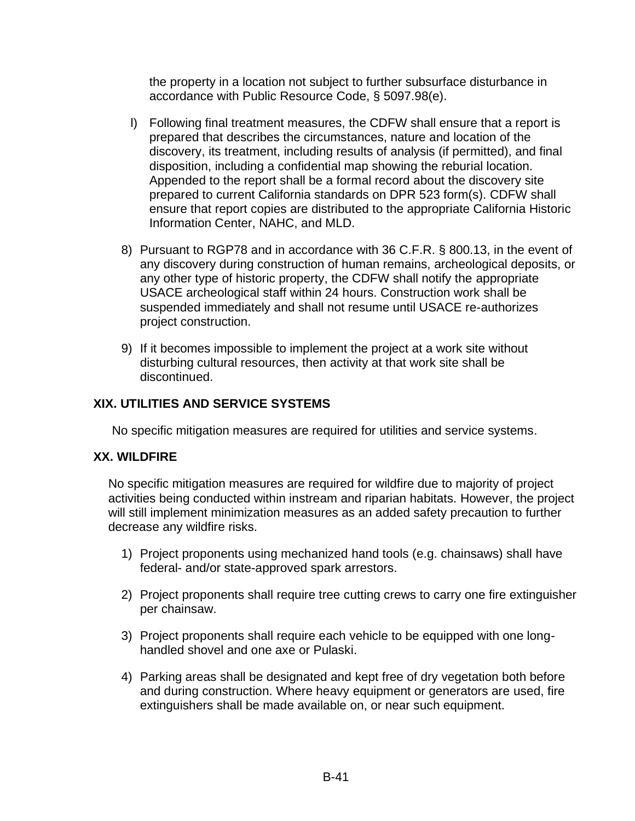the property in a location not subject to further subsurface disturbance in accordance with Public Resource Code, § 5097.98(e).

- l) Following final treatment measures, the CDFW shall ensure that a report is prepared that describes the circumstances, nature and location of the discovery, its treatment, including results of analysis (if permitted), and final disposition, including a confidential map showing the reburial location. Appended to the report shall be a formal record about the discovery site prepared to current California standards on DPR 523 form(s). CDFW shall ensure that report copies are distributed to the appropriate California Historic Information Center, NAHC, and MLD.
- 8) Pursuant to RGP78 and in accordance with 36 C.F.R. § 800.13, in the event of any discovery during construction of human remains, archeological deposits, or any other type of historic property, the CDFW shall notify the appropriate USACE archeological staff within 24 hours. Construction work shall be suspended immediately and shall not resume until USACE re-authorizes project construction.
- 9) If it becomes impossible to implement the project at a work site without disturbing cultural resources, then activity at that work site shall be discontinued.

## **XIX. UTILITIES AND SERVICE SYSTEMS**

No specific mitigation measures are required for utilities and service systems.

#### **XX. WILDFIRE**

No specific mitigation measures are required for wildfire due to majority of project activities being conducted within instream and riparian habitats. However, the project will still implement minimization measures as an added safety precaution to further decrease any wildfire risks.

- 1) Project proponents using mechanized hand tools (e.g. chainsaws) shall have federal- and/or state-approved spark arrestors.
- 2) Project proponents shall require tree cutting crews to carry one fire extinguisher per chainsaw.
- 3) Project proponents shall require each vehicle to be equipped with one longhandled shovel and one axe or Pulaski.
- 4) Parking areas shall be designated and kept free of dry vegetation both before and during construction. Where heavy equipment or generators are used, fire extinguishers shall be made available on, or near such equipment.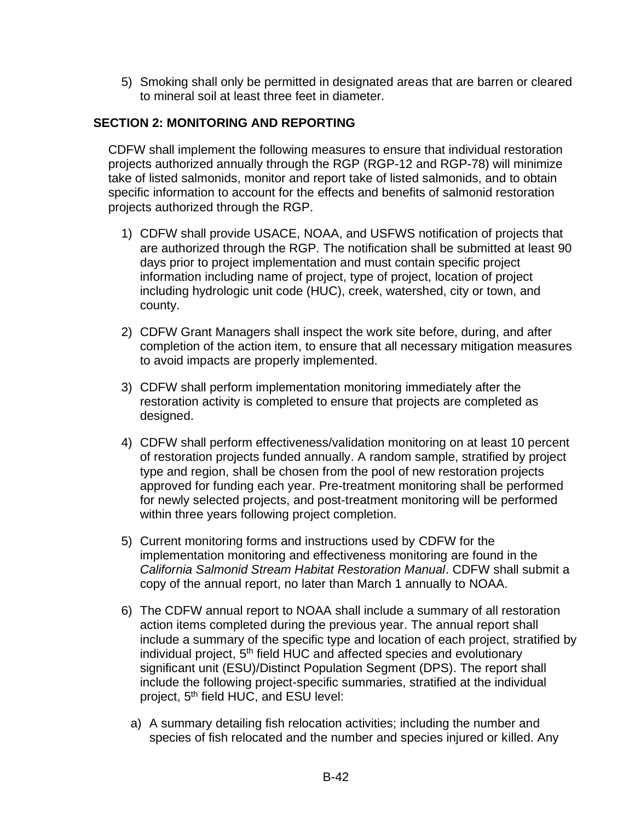5) Smoking shall only be permitted in designated areas that are barren or cleared to mineral soil at least three feet in diameter.

# **SECTION 2: MONITORING AND REPORTING**

CDFW shall implement the following measures to ensure that individual restoration projects authorized annually through the RGP (RGP-12 and RGP-78) will minimize take of listed salmonids, monitor and report take of listed salmonids, and to obtain specific information to account for the effects and benefits of salmonid restoration projects authorized through the RGP.

- 1) CDFW shall provide USACE, NOAA, and USFWS notification of projects that are authorized through the RGP. The notification shall be submitted at least 90 days prior to project implementation and must contain specific project information including name of project, type of project, location of project including hydrologic unit code (HUC), creek, watershed, city or town, and county.
- 2) CDFW Grant Managers shall inspect the work site before, during, and after completion of the action item, to ensure that all necessary mitigation measures to avoid impacts are properly implemented.
- 3) CDFW shall perform implementation monitoring immediately after the restoration activity is completed to ensure that projects are completed as designed.
- 4) CDFW shall perform effectiveness/validation monitoring on at least 10 percent of restoration projects funded annually. A random sample, stratified by project type and region, shall be chosen from the pool of new restoration projects approved for funding each year. Pre-treatment monitoring shall be performed for newly selected projects, and post-treatment monitoring will be performed within three years following project completion.
- 5) Current monitoring forms and instructions used by CDFW for the implementation monitoring and effectiveness monitoring are found in the *California Salmonid Stream Habitat Restoration Manual*. CDFW shall submit a copy of the annual report, no later than March 1 annually to NOAA.
- 6) The CDFW annual report to NOAA shall include a summary of all restoration action items completed during the previous year. The annual report shall include a summary of the specific type and location of each project, stratified by individual project, 5<sup>th</sup> field HUC and affected species and evolutionary significant unit (ESU)/Distinct Population Segment (DPS). The report shall include the following project-specific summaries, stratified at the individual project, 5<sup>th</sup> field HUC, and ESU level:
	- a) A summary detailing fish relocation activities; including the number and species of fish relocated and the number and species injured or killed. Any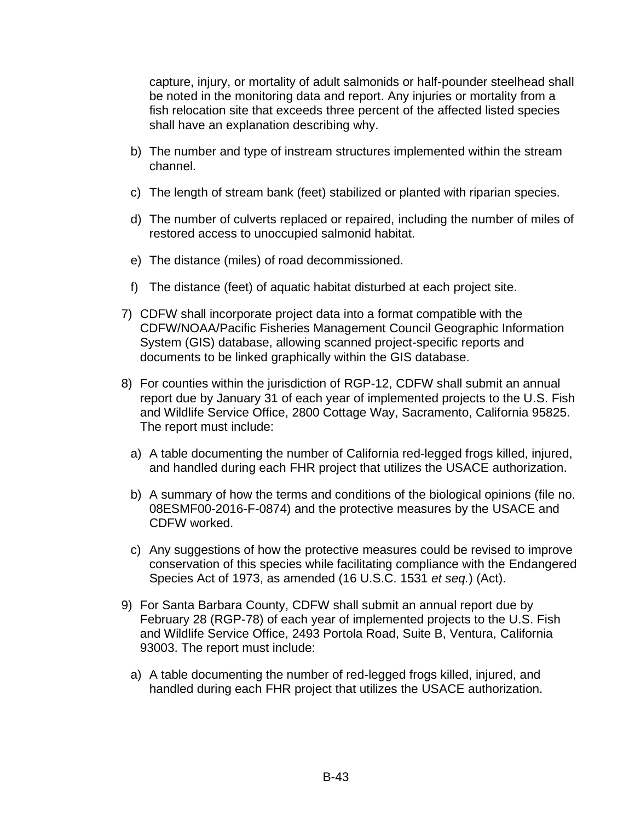capture, injury, or mortality of adult salmonids or half-pounder steelhead shall be noted in the monitoring data and report. Any injuries or mortality from a fish relocation site that exceeds three percent of the affected listed species shall have an explanation describing why.

- b) The number and type of instream structures implemented within the stream channel.
- c) The length of stream bank (feet) stabilized or planted with riparian species.
- d) The number of culverts replaced or repaired, including the number of miles of restored access to unoccupied salmonid habitat.
- e) The distance (miles) of road decommissioned.
- f) The distance (feet) of aquatic habitat disturbed at each project site.
- 7) CDFW shall incorporate project data into a format compatible with the CDFW/NOAA/Pacific Fisheries Management Council Geographic Information System (GIS) database, allowing scanned project-specific reports and documents to be linked graphically within the GIS database.
- 8) For counties within the jurisdiction of RGP-12, CDFW shall submit an annual report due by January 31 of each year of implemented projects to the U.S. Fish and Wildlife Service Office, 2800 Cottage Way, Sacramento, California 95825. The report must include:
	- a) A table documenting the number of California red-legged frogs killed, injured, and handled during each FHR project that utilizes the USACE authorization.
	- b) A summary of how the terms and conditions of the biological opinions (file no. 08ESMF00-2016-F-0874) and the protective measures by the USACE and CDFW worked.
	- c) Any suggestions of how the protective measures could be revised to improve conservation of this species while facilitating compliance with the Endangered Species Act of 1973, as amended (16 U.S.C. 1531 *et seq.*) (Act).
- 9) For Santa Barbara County, CDFW shall submit an annual report due by February 28 (RGP-78) of each year of implemented projects to the U.S. Fish and Wildlife Service Office, 2493 Portola Road, Suite B, Ventura, California 93003. The report must include:
	- a) A table documenting the number of red-legged frogs killed, injured, and handled during each FHR project that utilizes the USACE authorization.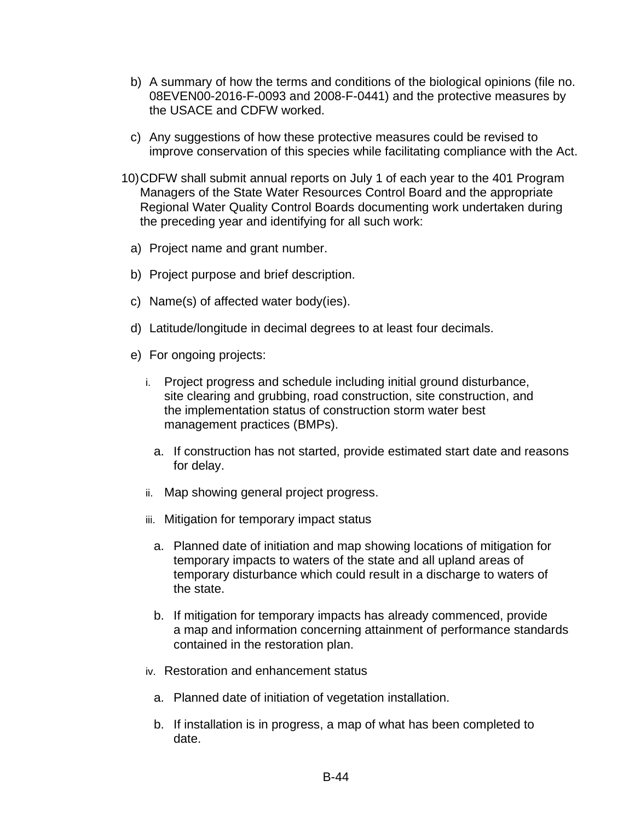- b) A summary of how the terms and conditions of the biological opinions (file no. 08EVEN00-2016-F-0093 and 2008-F-0441) and the protective measures by the USACE and CDFW worked.
- c) Any suggestions of how these protective measures could be revised to improve conservation of this species while facilitating compliance with the Act.
- 10)CDFW shall submit annual reports on July 1 of each year to the 401 Program Managers of the State Water Resources Control Board and the appropriate Regional Water Quality Control Boards documenting work undertaken during the preceding year and identifying for all such work:
	- a) Project name and grant number.
	- b) Project purpose and brief description.
	- c) Name(s) of affected water body(ies).
	- d) Latitude/longitude in decimal degrees to at least four decimals.
	- e) For ongoing projects:
		- i. Project progress and schedule including initial ground disturbance, site clearing and grubbing, road construction, site construction, and the implementation status of construction storm water best management practices (BMPs).
			- a. If construction has not started, provide estimated start date and reasons for delay.
		- ii. Map showing general project progress.
		- iii. Mitigation for temporary impact status
			- a. Planned date of initiation and map showing locations of mitigation for temporary impacts to waters of the state and all upland areas of temporary disturbance which could result in a discharge to waters of the state.
			- b. If mitigation for temporary impacts has already commenced, provide a map and information concerning attainment of performance standards contained in the restoration plan.
		- iv. Restoration and enhancement status
			- a. Planned date of initiation of vegetation installation.
			- b. If installation is in progress, a map of what has been completed to date.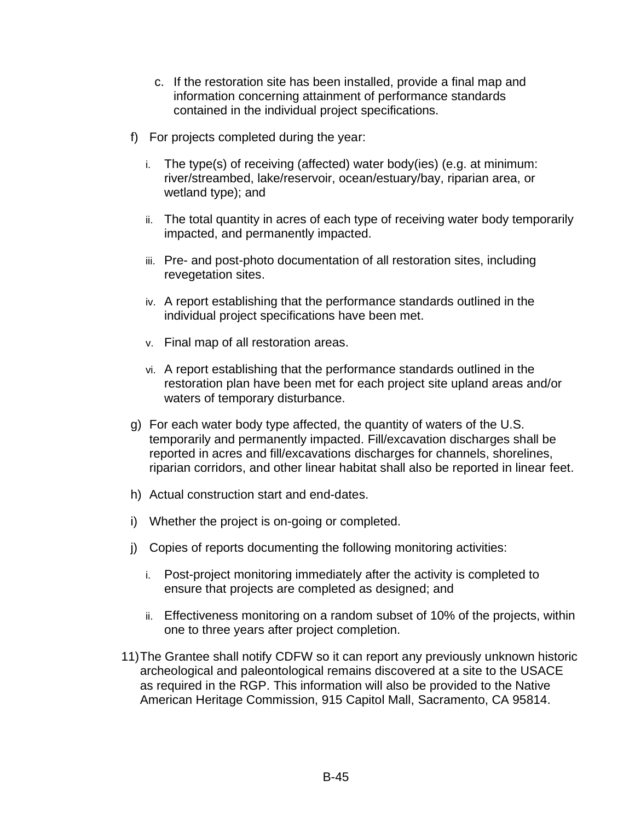- c. If the restoration site has been installed, provide a final map and information concerning attainment of performance standards contained in the individual project specifications.
- f) For projects completed during the year:
	- i. The type(s) of receiving (affected) water body(ies) (e.g. at minimum: river/streambed, lake/reservoir, ocean/estuary/bay, riparian area, or wetland type); and
	- ii. The total quantity in acres of each type of receiving water body temporarily impacted, and permanently impacted.
	- iii. Pre- and post-photo documentation of all restoration sites, including revegetation sites.
	- iv. A report establishing that the performance standards outlined in the individual project specifications have been met.
	- v. Final map of all restoration areas.
	- vi. A report establishing that the performance standards outlined in the restoration plan have been met for each project site upland areas and/or waters of temporary disturbance.
- g) For each water body type affected, the quantity of waters of the U.S. temporarily and permanently impacted. Fill/excavation discharges shall be reported in acres and fill/excavations discharges for channels, shorelines, riparian corridors, and other linear habitat shall also be reported in linear feet.
- h) Actual construction start and end-dates.
- i) Whether the project is on-going or completed.
- j) Copies of reports documenting the following monitoring activities:
	- i. Post-project monitoring immediately after the activity is completed to ensure that projects are completed as designed; and
	- ii. Effectiveness monitoring on a random subset of 10% of the projects, within one to three years after project completion.
- 11)The Grantee shall notify CDFW so it can report any previously unknown historic archeological and paleontological remains discovered at a site to the USACE as required in the RGP. This information will also be provided to the Native American Heritage Commission, 915 Capitol Mall, Sacramento, CA 95814.